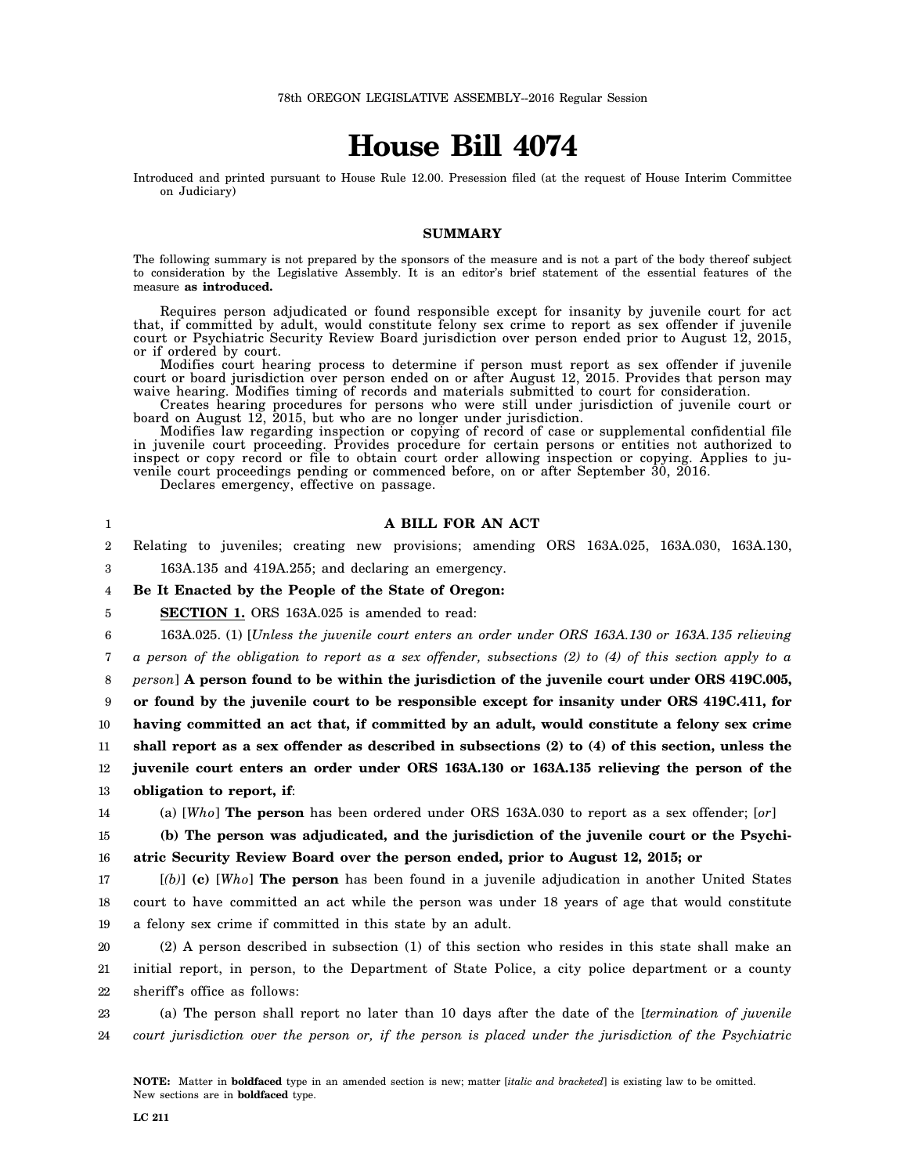# **House Bill 4074**

Introduced and printed pursuant to House Rule 12.00. Presession filed (at the request of House Interim Committee on Judiciary)

### **SUMMARY**

The following summary is not prepared by the sponsors of the measure and is not a part of the body thereof subject to consideration by the Legislative Assembly. It is an editor's brief statement of the essential features of the measure **as introduced.**

Requires person adjudicated or found responsible except for insanity by juvenile court for act that, if committed by adult, would constitute felony sex crime to report as sex offender if juvenile court or Psychiatric Security Review Board jurisdiction over person ended prior to August 12, 2015, or if ordered by court.

Modifies court hearing process to determine if person must report as sex offender if juvenile court or board jurisdiction over person ended on or after August 12, 2015. Provides that person may waive hearing. Modifies timing of records and materials submitted to court for consideration.

Creates hearing procedures for persons who were still under jurisdiction of juvenile court or board on August 12, 2015, but who are no longer under jurisdiction.

Modifies law regarding inspection or copying of record of case or supplemental confidential file in juvenile court proceeding. Provides procedure for certain persons or entities not authorized to inspect or copy record or file to obtain court order allowing inspection or copying. Applies to juvenile court proceedings pending or commenced before, on or after September 30, 2016.

Declares emergency, effective on passage.

#### 1  $\mathfrak{D}$ 3 4 5 6 7 8 9 10 11 12 13 14 15 16 17 18 19 20 21 22 23 24 **A BILL FOR AN ACT** Relating to juveniles; creating new provisions; amending ORS 163A.025, 163A.030, 163A.130, 163A.135 and 419A.255; and declaring an emergency. **Be It Enacted by the People of the State of Oregon: SECTION 1.** ORS 163A.025 is amended to read: 163A.025. (1) [*Unless the juvenile court enters an order under ORS 163A.130 or 163A.135 relieving a person of the obligation to report as a sex offender, subsections (2) to (4) of this section apply to a person*] **A person found to be within the jurisdiction of the juvenile court under ORS 419C.005, or found by the juvenile court to be responsible except for insanity under ORS 419C.411, for having committed an act that, if committed by an adult, would constitute a felony sex crime shall report as a sex offender as described in subsections (2) to (4) of this section, unless the juvenile court enters an order under ORS 163A.130 or 163A.135 relieving the person of the obligation to report, if**: (a) [*Who*] **The person** has been ordered under ORS 163A.030 to report as a sex offender; [*or*] **(b) The person was adjudicated, and the jurisdiction of the juvenile court or the Psychiatric Security Review Board over the person ended, prior to August 12, 2015; or** [*(b)*] **(c)** [*Who*] **The person** has been found in a juvenile adjudication in another United States court to have committed an act while the person was under 18 years of age that would constitute a felony sex crime if committed in this state by an adult. (2) A person described in subsection (1) of this section who resides in this state shall make an initial report, in person, to the Department of State Police, a city police department or a county sheriff's office as follows: (a) The person shall report no later than 10 days after the date of the [*termination of juvenile court jurisdiction over the person or, if the person is placed under the jurisdiction of the Psychiatric*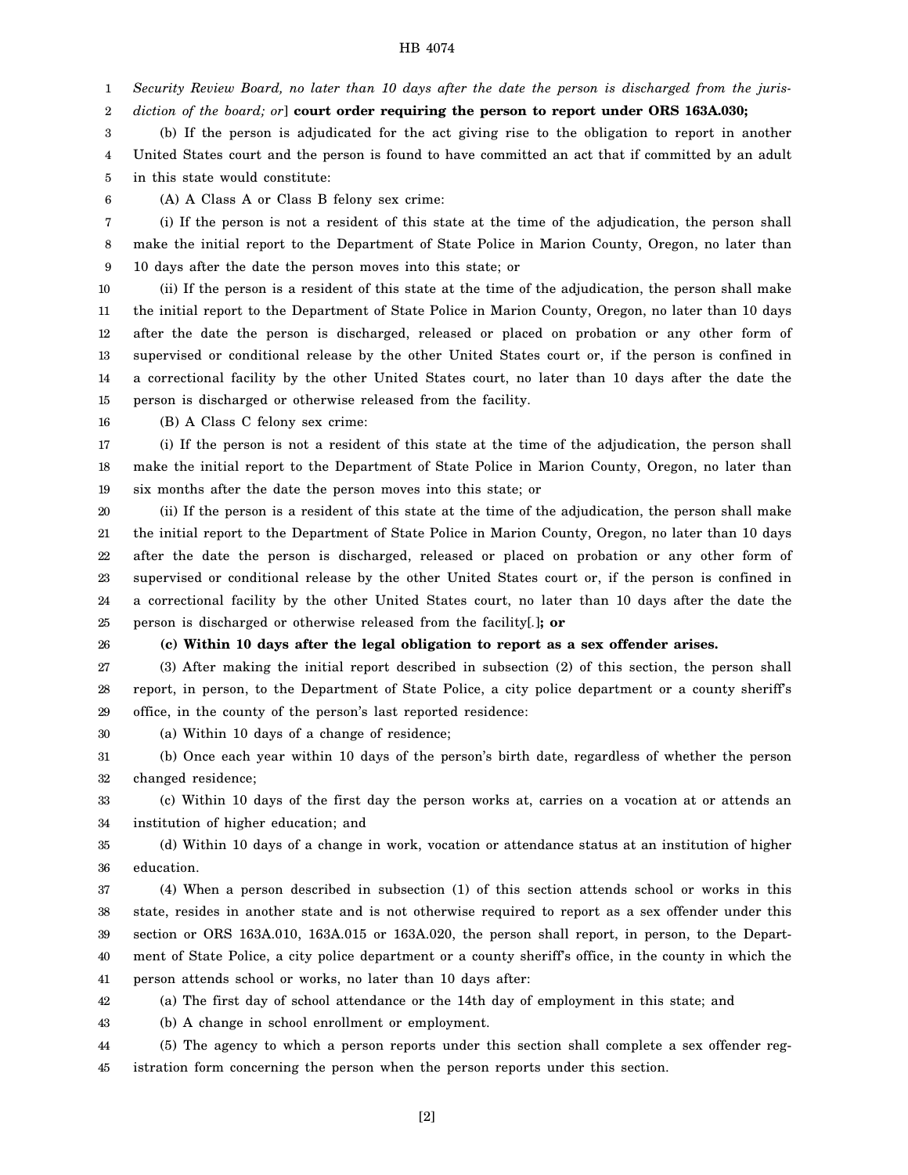1 *Security Review Board, no later than 10 days after the date the person is discharged from the juris-*

2 *diction of the board; or*] **court order requiring the person to report under ORS 163A.030;**

3 4 5 (b) If the person is adjudicated for the act giving rise to the obligation to report in another United States court and the person is found to have committed an act that if committed by an adult in this state would constitute:

6 (A) A Class A or Class B felony sex crime:

7 8 9 (i) If the person is not a resident of this state at the time of the adjudication, the person shall make the initial report to the Department of State Police in Marion County, Oregon, no later than 10 days after the date the person moves into this state; or

10 11 12 13 14 15 (ii) If the person is a resident of this state at the time of the adjudication, the person shall make the initial report to the Department of State Police in Marion County, Oregon, no later than 10 days after the date the person is discharged, released or placed on probation or any other form of supervised or conditional release by the other United States court or, if the person is confined in a correctional facility by the other United States court, no later than 10 days after the date the person is discharged or otherwise released from the facility.

16 (B) A Class C felony sex crime:

17 18 19 (i) If the person is not a resident of this state at the time of the adjudication, the person shall make the initial report to the Department of State Police in Marion County, Oregon, no later than six months after the date the person moves into this state; or

20 21 22 23 24 25 (ii) If the person is a resident of this state at the time of the adjudication, the person shall make the initial report to the Department of State Police in Marion County, Oregon, no later than 10 days after the date the person is discharged, released or placed on probation or any other form of supervised or conditional release by the other United States court or, if the person is confined in a correctional facility by the other United States court, no later than 10 days after the date the person is discharged or otherwise released from the facility[*.*]**; or**

26

#### **(c) Within 10 days after the legal obligation to report as a sex offender arises.**

27 28 29 (3) After making the initial report described in subsection (2) of this section, the person shall report, in person, to the Department of State Police, a city police department or a county sheriff's office, in the county of the person's last reported residence:

30 (a) Within 10 days of a change of residence;

31 32 (b) Once each year within 10 days of the person's birth date, regardless of whether the person changed residence;

33 34 (c) Within 10 days of the first day the person works at, carries on a vocation at or attends an institution of higher education; and

35 36 (d) Within 10 days of a change in work, vocation or attendance status at an institution of higher education.

37 38 39 40 41 (4) When a person described in subsection (1) of this section attends school or works in this state, resides in another state and is not otherwise required to report as a sex offender under this section or ORS 163A.010, 163A.015 or 163A.020, the person shall report, in person, to the Department of State Police, a city police department or a county sheriff's office, in the county in which the person attends school or works, no later than 10 days after:

42 (a) The first day of school attendance or the 14th day of employment in this state; and

43 (b) A change in school enrollment or employment.

44 45 (5) The agency to which a person reports under this section shall complete a sex offender registration form concerning the person when the person reports under this section.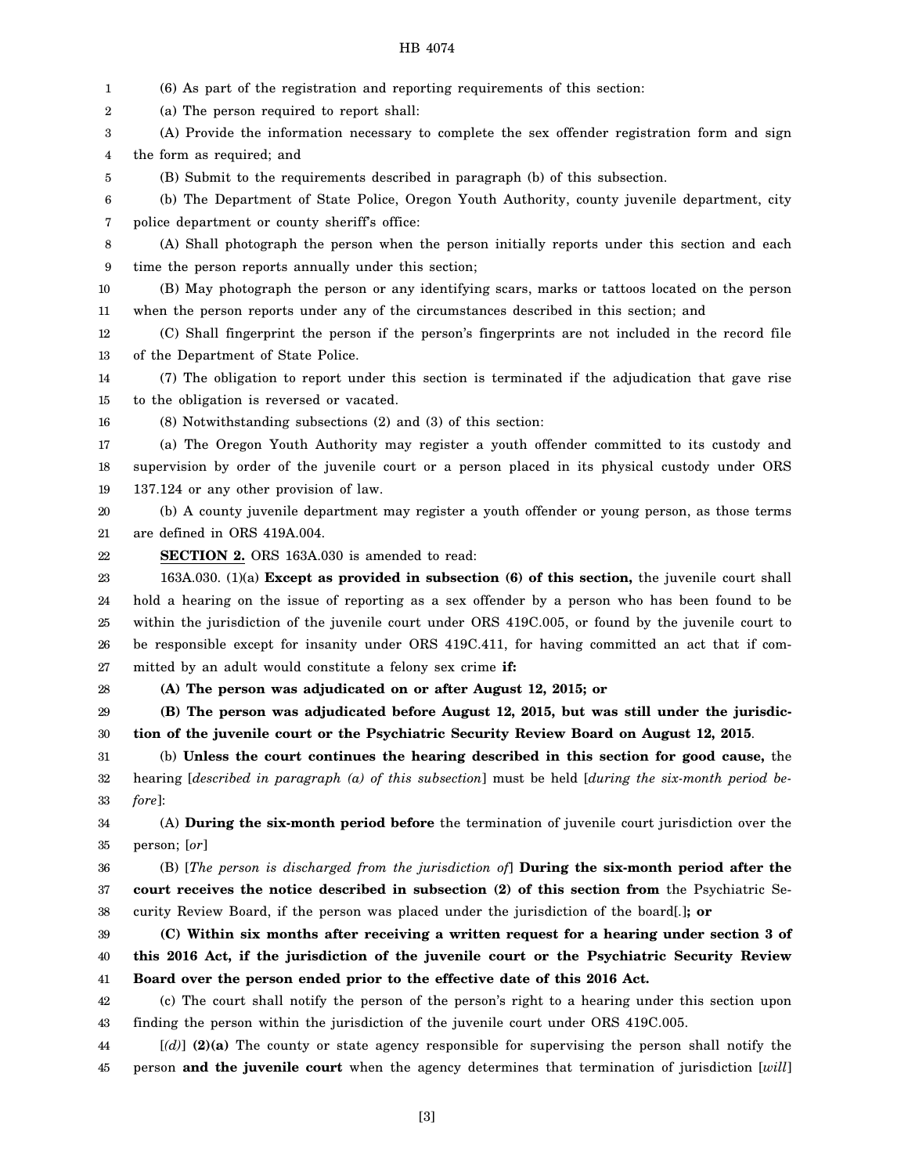1 2 3 4 5 6 7 8 9 10 11 12 13 14 15 16 17 18 19 20 21 22 23 24 25 26 27 28 29 30 31 32 33 34 35 36 37 38 39 40 41 42 43 44 (6) As part of the registration and reporting requirements of this section: (a) The person required to report shall: (A) Provide the information necessary to complete the sex offender registration form and sign the form as required; and (B) Submit to the requirements described in paragraph (b) of this subsection. (b) The Department of State Police, Oregon Youth Authority, county juvenile department, city police department or county sheriff's office: (A) Shall photograph the person when the person initially reports under this section and each time the person reports annually under this section; (B) May photograph the person or any identifying scars, marks or tattoos located on the person when the person reports under any of the circumstances described in this section; and (C) Shall fingerprint the person if the person's fingerprints are not included in the record file of the Department of State Police. (7) The obligation to report under this section is terminated if the adjudication that gave rise to the obligation is reversed or vacated. (8) Notwithstanding subsections (2) and (3) of this section: (a) The Oregon Youth Authority may register a youth offender committed to its custody and supervision by order of the juvenile court or a person placed in its physical custody under ORS 137.124 or any other provision of law. (b) A county juvenile department may register a youth offender or young person, as those terms are defined in ORS 419A.004. **SECTION 2.** ORS 163A.030 is amended to read: 163A.030. (1)(a) **Except as provided in subsection (6) of this section,** the juvenile court shall hold a hearing on the issue of reporting as a sex offender by a person who has been found to be within the jurisdiction of the juvenile court under ORS 419C.005, or found by the juvenile court to be responsible except for insanity under ORS 419C.411, for having committed an act that if committed by an adult would constitute a felony sex crime **if: (A) The person was adjudicated on or after August 12, 2015; or (B) The person was adjudicated before August 12, 2015, but was still under the jurisdiction of the juvenile court or the Psychiatric Security Review Board on August 12, 2015**. (b) **Unless the court continues the hearing described in this section for good cause,** the hearing [*described in paragraph (a) of this subsection*] must be held [*during the six-month period before*]: (A) **During the six-month period before** the termination of juvenile court jurisdiction over the person; [*or*] (B) [*The person is discharged from the jurisdiction of*] **During the six-month period after the court receives the notice described in subsection (2) of this section from** the Psychiatric Security Review Board, if the person was placed under the jurisdiction of the board[*.*]**; or (C) Within six months after receiving a written request for a hearing under section 3 of this 2016 Act, if the jurisdiction of the juvenile court or the Psychiatric Security Review Board over the person ended prior to the effective date of this 2016 Act.** (c) The court shall notify the person of the person's right to a hearing under this section upon finding the person within the jurisdiction of the juvenile court under ORS 419C.005. [*(d)*] **(2)(a)** The county or state agency responsible for supervising the person shall notify the

45 person **and the juvenile court** when the agency determines that termination of jurisdiction [*will*]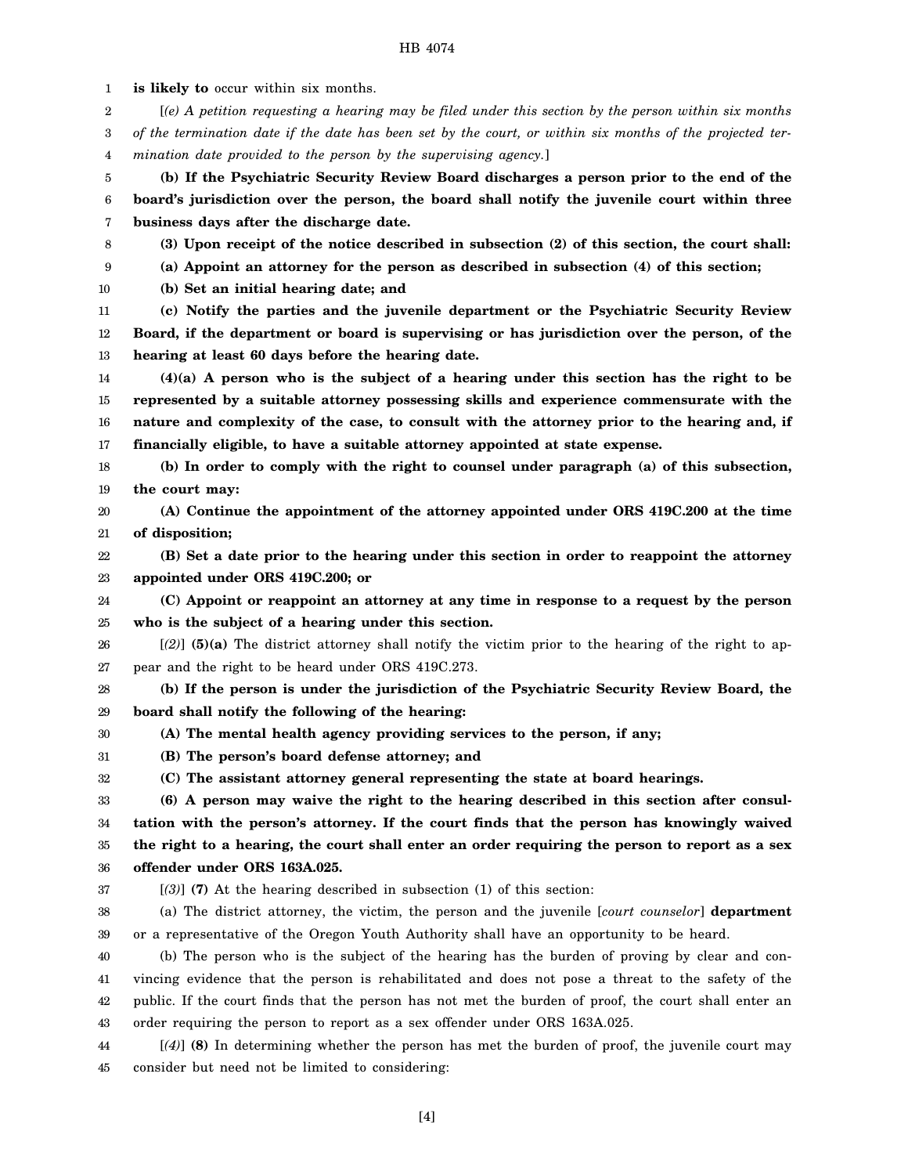1 2 3 4 5 6 7 8 9 10 11 12 13 14 15 16 17 18 19 20 21 22 23 24 25 26 27 28 29 30 31 32 33 34 35 36 37 38 39 40 41 42 43 44 45 **is likely to** occur within six months. [*(e) A petition requesting a hearing may be filed under this section by the person within six months of the termination date if the date has been set by the court, or within six months of the projected termination date provided to the person by the supervising agency.*] **(b) If the Psychiatric Security Review Board discharges a person prior to the end of the board's jurisdiction over the person, the board shall notify the juvenile court within three business days after the discharge date. (3) Upon receipt of the notice described in subsection (2) of this section, the court shall: (a) Appoint an attorney for the person as described in subsection (4) of this section; (b) Set an initial hearing date; and (c) Notify the parties and the juvenile department or the Psychiatric Security Review Board, if the department or board is supervising or has jurisdiction over the person, of the hearing at least 60 days before the hearing date. (4)(a) A person who is the subject of a hearing under this section has the right to be represented by a suitable attorney possessing skills and experience commensurate with the nature and complexity of the case, to consult with the attorney prior to the hearing and, if financially eligible, to have a suitable attorney appointed at state expense. (b) In order to comply with the right to counsel under paragraph (a) of this subsection, the court may: (A) Continue the appointment of the attorney appointed under ORS 419C.200 at the time of disposition; (B) Set a date prior to the hearing under this section in order to reappoint the attorney appointed under ORS 419C.200; or (C) Appoint or reappoint an attorney at any time in response to a request by the person who is the subject of a hearing under this section.** [*(2)*] **(5)(a)** The district attorney shall notify the victim prior to the hearing of the right to appear and the right to be heard under ORS 419C.273. **(b) If the person is under the jurisdiction of the Psychiatric Security Review Board, the board shall notify the following of the hearing: (A) The mental health agency providing services to the person, if any; (B) The person's board defense attorney; and (C) The assistant attorney general representing the state at board hearings. (6) A person may waive the right to the hearing described in this section after consultation with the person's attorney. If the court finds that the person has knowingly waived the right to a hearing, the court shall enter an order requiring the person to report as a sex offender under ORS 163A.025.** [*(3)*] **(7)** At the hearing described in subsection (1) of this section: (a) The district attorney, the victim, the person and the juvenile [*court counselor*] **department** or a representative of the Oregon Youth Authority shall have an opportunity to be heard. (b) The person who is the subject of the hearing has the burden of proving by clear and convincing evidence that the person is rehabilitated and does not pose a threat to the safety of the public. If the court finds that the person has not met the burden of proof, the court shall enter an order requiring the person to report as a sex offender under ORS 163A.025. [*(4)*] **(8)** In determining whether the person has met the burden of proof, the juvenile court may consider but need not be limited to considering: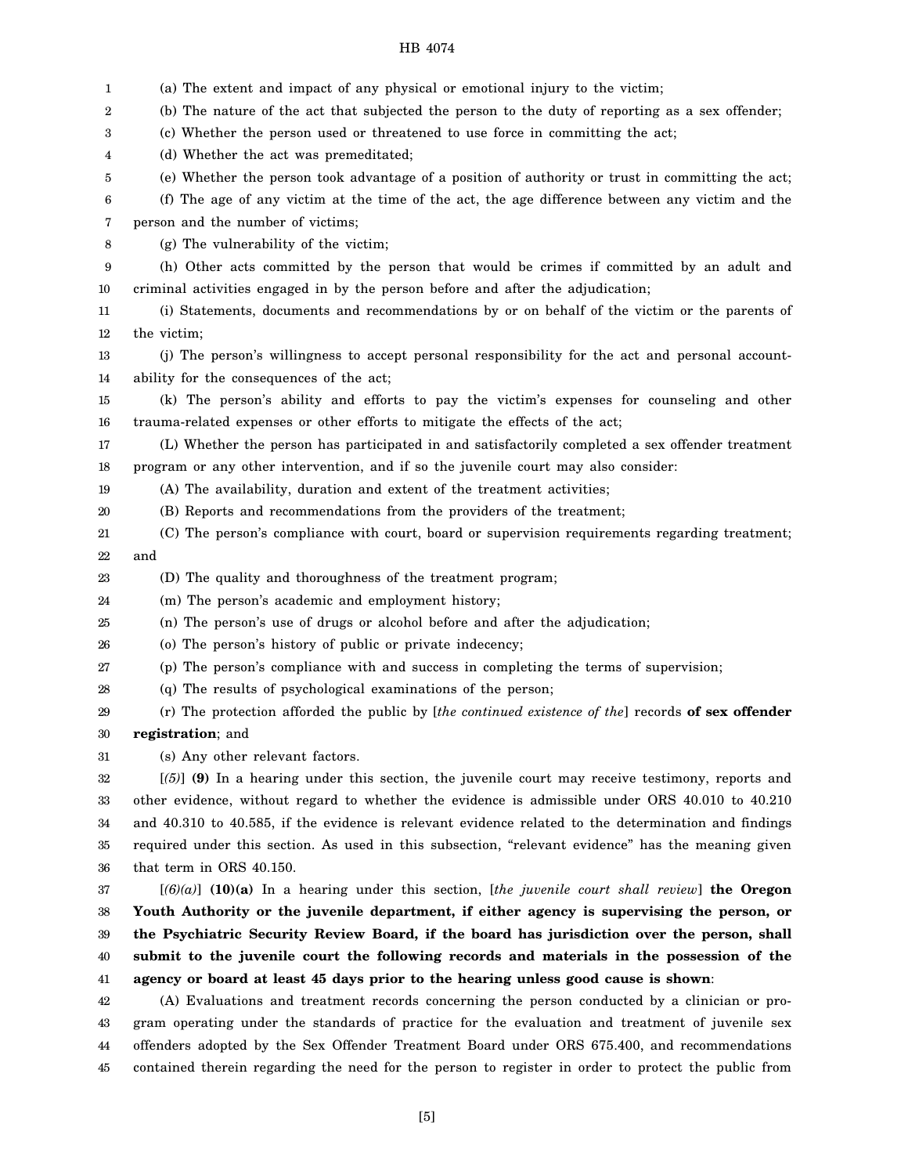- 1 2 3 4 5 6 7 8 9 10 11 12 13 14 15 16 17 18 19 20 21 22 23 24 25 26 27 28 29 30 31 32 33 34 35 36 37 38 39 40 41 42 43 44 (a) The extent and impact of any physical or emotional injury to the victim; (b) The nature of the act that subjected the person to the duty of reporting as a sex offender; (c) Whether the person used or threatened to use force in committing the act; (d) Whether the act was premeditated; (e) Whether the person took advantage of a position of authority or trust in committing the act; (f) The age of any victim at the time of the act, the age difference between any victim and the person and the number of victims; (g) The vulnerability of the victim; (h) Other acts committed by the person that would be crimes if committed by an adult and criminal activities engaged in by the person before and after the adjudication; (i) Statements, documents and recommendations by or on behalf of the victim or the parents of the victim; (j) The person's willingness to accept personal responsibility for the act and personal accountability for the consequences of the act; (k) The person's ability and efforts to pay the victim's expenses for counseling and other trauma-related expenses or other efforts to mitigate the effects of the act; (L) Whether the person has participated in and satisfactorily completed a sex offender treatment program or any other intervention, and if so the juvenile court may also consider: (A) The availability, duration and extent of the treatment activities; (B) Reports and recommendations from the providers of the treatment; (C) The person's compliance with court, board or supervision requirements regarding treatment; and (D) The quality and thoroughness of the treatment program; (m) The person's academic and employment history; (n) The person's use of drugs or alcohol before and after the adjudication; (o) The person's history of public or private indecency; (p) The person's compliance with and success in completing the terms of supervision; (q) The results of psychological examinations of the person; (r) The protection afforded the public by [*the continued existence of the*] records **of sex offender registration**; and (s) Any other relevant factors. [*(5)*] **(9)** In a hearing under this section, the juvenile court may receive testimony, reports and other evidence, without regard to whether the evidence is admissible under ORS 40.010 to 40.210 and 40.310 to 40.585, if the evidence is relevant evidence related to the determination and findings required under this section. As used in this subsection, "relevant evidence" has the meaning given that term in ORS 40.150. [*(6)(a)*] **(10)(a)** In a hearing under this section, [*the juvenile court shall review*] **the Oregon Youth Authority or the juvenile department, if either agency is supervising the person, or the Psychiatric Security Review Board, if the board has jurisdiction over the person, shall submit to the juvenile court the following records and materials in the possession of the agency or board at least 45 days prior to the hearing unless good cause is shown**: (A) Evaluations and treatment records concerning the person conducted by a clinician or program operating under the standards of practice for the evaluation and treatment of juvenile sex offenders adopted by the Sex Offender Treatment Board under ORS 675.400, and recommendations
- HB 4074

contained therein regarding the need for the person to register in order to protect the public from

45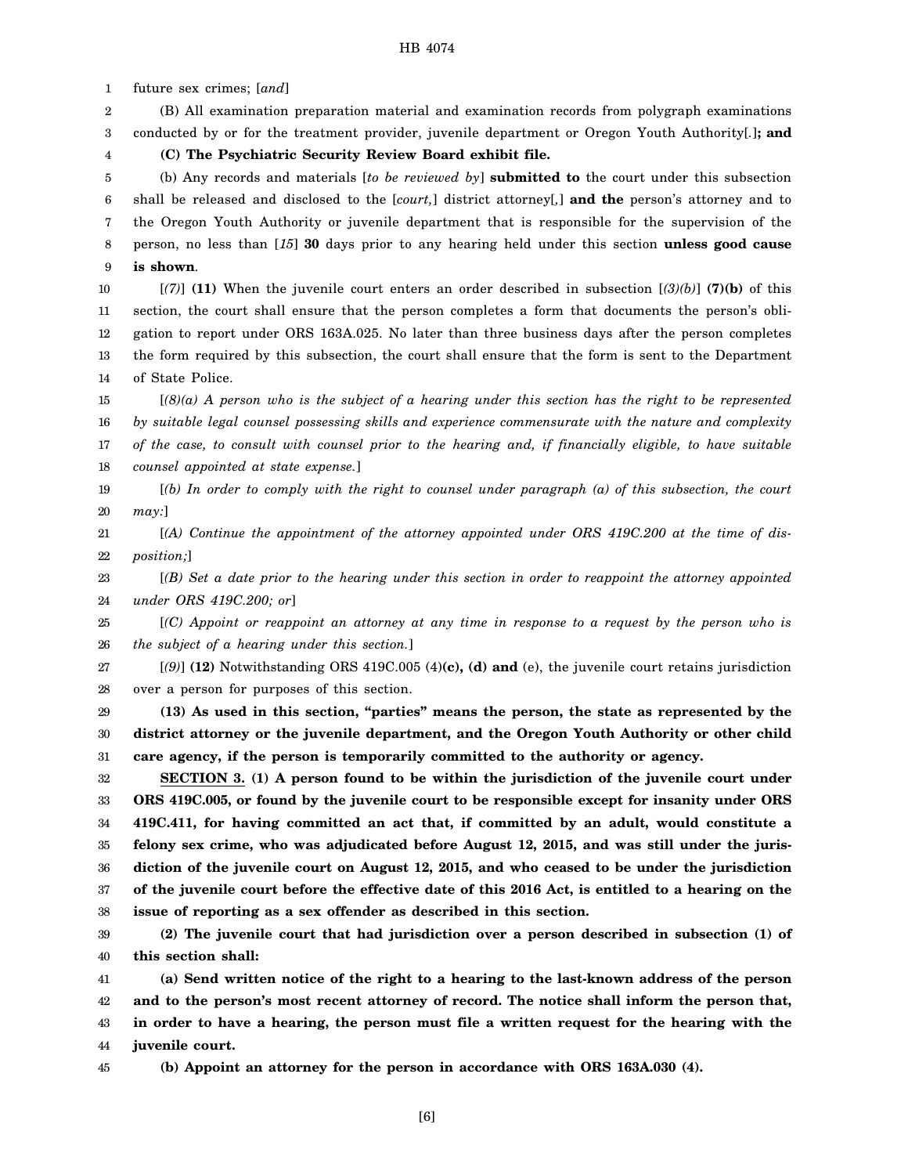1 future sex crimes; [*and*]

2 3 (B) All examination preparation material and examination records from polygraph examinations conducted by or for the treatment provider, juvenile department or Oregon Youth Authority[*.*]**; and**

4 **(C) The Psychiatric Security Review Board exhibit file.**

5 6 7 8 9 (b) Any records and materials [*to be reviewed by*] **submitted to** the court under this subsection shall be released and disclosed to the [*court,*] district attorney[*,*] **and the** person's attorney and to the Oregon Youth Authority or juvenile department that is responsible for the supervision of the person, no less than [*15*] **30** days prior to any hearing held under this section **unless good cause is shown**.

10 11 12 13 14 [*(7)*] **(11)** When the juvenile court enters an order described in subsection [*(3)(b)*] **(7)(b)** of this section, the court shall ensure that the person completes a form that documents the person's obligation to report under ORS 163A.025. No later than three business days after the person completes the form required by this subsection, the court shall ensure that the form is sent to the Department of State Police.

15 16 17 18 [*(8)(a) A person who is the subject of a hearing under this section has the right to be represented by suitable legal counsel possessing skills and experience commensurate with the nature and complexity of the case, to consult with counsel prior to the hearing and, if financially eligible, to have suitable counsel appointed at state expense.*]

19 20 [*(b) In order to comply with the right to counsel under paragraph (a) of this subsection, the court may:*]

21 22 [*(A) Continue the appointment of the attorney appointed under ORS 419C.200 at the time of disposition;*]

23 24 [*(B) Set a date prior to the hearing under this section in order to reappoint the attorney appointed under ORS 419C.200; or*]

25 26 [*(C) Appoint or reappoint an attorney at any time in response to a request by the person who is the subject of a hearing under this section.*]

27 28 [*(9)*] **(12)** Notwithstanding ORS 419C.005 (4)**(c), (d) and** (e), the juvenile court retains jurisdiction over a person for purposes of this section.

29 30 31 **(13) As used in this section, "parties" means the person, the state as represented by the district attorney or the juvenile department, and the Oregon Youth Authority or other child care agency, if the person is temporarily committed to the authority or agency.**

32 33 34 35 36 37 38 **SECTION 3. (1) A person found to be within the jurisdiction of the juvenile court under ORS 419C.005, or found by the juvenile court to be responsible except for insanity under ORS 419C.411, for having committed an act that, if committed by an adult, would constitute a felony sex crime, who was adjudicated before August 12, 2015, and was still under the jurisdiction of the juvenile court on August 12, 2015, and who ceased to be under the jurisdiction of the juvenile court before the effective date of this 2016 Act, is entitled to a hearing on the issue of reporting as a sex offender as described in this section.**

39 40 **(2) The juvenile court that had jurisdiction over a person described in subsection (1) of this section shall:**

41 42 43 44 **(a) Send written notice of the right to a hearing to the last-known address of the person and to the person's most recent attorney of record. The notice shall inform the person that, in order to have a hearing, the person must file a written request for the hearing with the juvenile court.**

45

**(b) Appoint an attorney for the person in accordance with ORS 163A.030 (4).**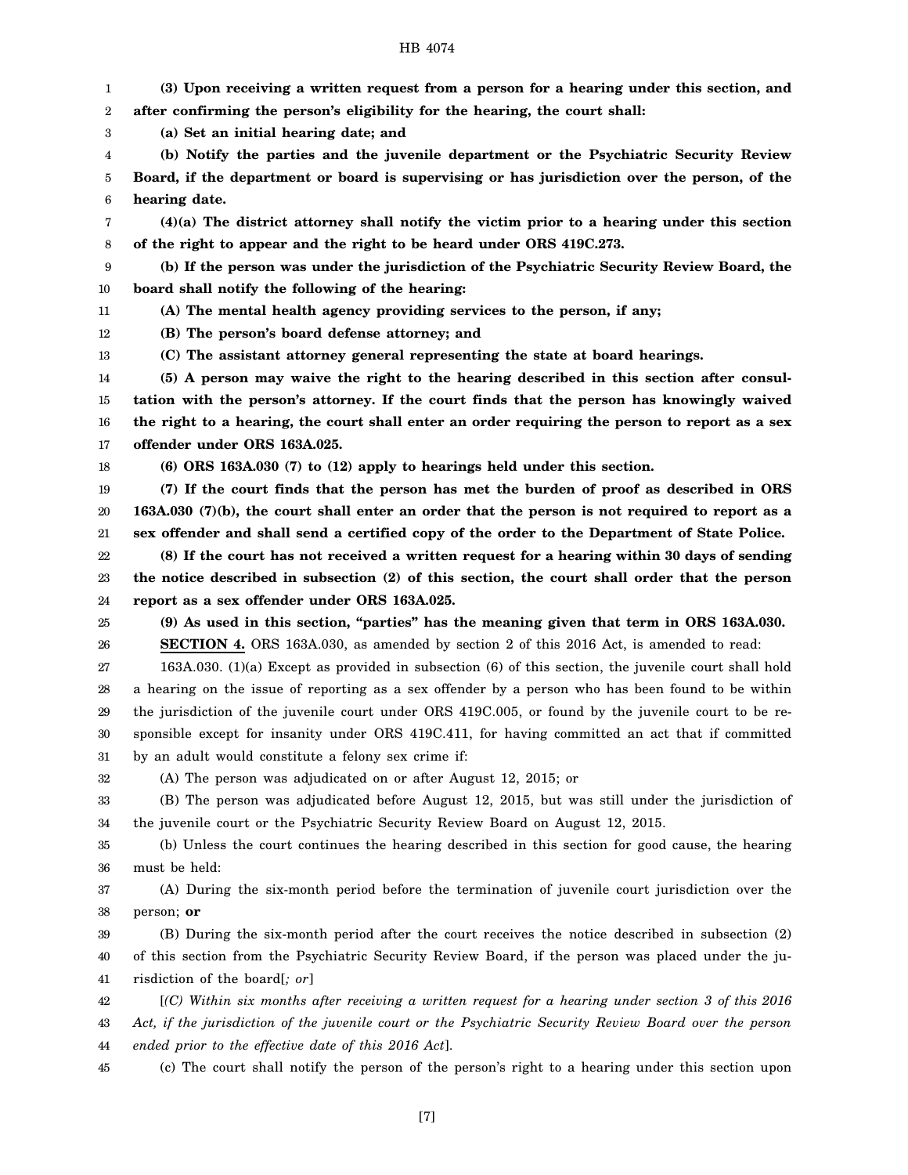1 2 3 4 5 6 7 8 9 10 11 12 13 14 15 16 17 18 19 20 21 22 23 24 25 26 27 28 29 30 31 32 33 34 35 36 37 38 39 40 41 42 43 44 **(3) Upon receiving a written request from a person for a hearing under this section, and after confirming the person's eligibility for the hearing, the court shall: (a) Set an initial hearing date; and (b) Notify the parties and the juvenile department or the Psychiatric Security Review Board, if the department or board is supervising or has jurisdiction over the person, of the hearing date. (4)(a) The district attorney shall notify the victim prior to a hearing under this section of the right to appear and the right to be heard under ORS 419C.273. (b) If the person was under the jurisdiction of the Psychiatric Security Review Board, the board shall notify the following of the hearing: (A) The mental health agency providing services to the person, if any; (B) The person's board defense attorney; and (C) The assistant attorney general representing the state at board hearings. (5) A person may waive the right to the hearing described in this section after consultation with the person's attorney. If the court finds that the person has knowingly waived the right to a hearing, the court shall enter an order requiring the person to report as a sex offender under ORS 163A.025. (6) ORS 163A.030 (7) to (12) apply to hearings held under this section. (7) If the court finds that the person has met the burden of proof as described in ORS 163A.030 (7)(b), the court shall enter an order that the person is not required to report as a sex offender and shall send a certified copy of the order to the Department of State Police. (8) If the court has not received a written request for a hearing within 30 days of sending the notice described in subsection (2) of this section, the court shall order that the person report as a sex offender under ORS 163A.025. (9) As used in this section, "parties" has the meaning given that term in ORS 163A.030. SECTION 4.** ORS 163A.030, as amended by section 2 of this 2016 Act, is amended to read: 163A.030. (1)(a) Except as provided in subsection (6) of this section, the juvenile court shall hold a hearing on the issue of reporting as a sex offender by a person who has been found to be within the jurisdiction of the juvenile court under ORS 419C.005, or found by the juvenile court to be responsible except for insanity under ORS 419C.411, for having committed an act that if committed by an adult would constitute a felony sex crime if: (A) The person was adjudicated on or after August 12, 2015; or (B) The person was adjudicated before August 12, 2015, but was still under the jurisdiction of the juvenile court or the Psychiatric Security Review Board on August 12, 2015. (b) Unless the court continues the hearing described in this section for good cause, the hearing must be held: (A) During the six-month period before the termination of juvenile court jurisdiction over the person; **or** (B) During the six-month period after the court receives the notice described in subsection (2) of this section from the Psychiatric Security Review Board, if the person was placed under the jurisdiction of the board[*; or*] [*(C) Within six months after receiving a written request for a hearing under section 3 of this 2016 Act, if the jurisdiction of the juvenile court or the Psychiatric Security Review Board over the person ended prior to the effective date of this 2016 Act*].

45 (c) The court shall notify the person of the person's right to a hearing under this section upon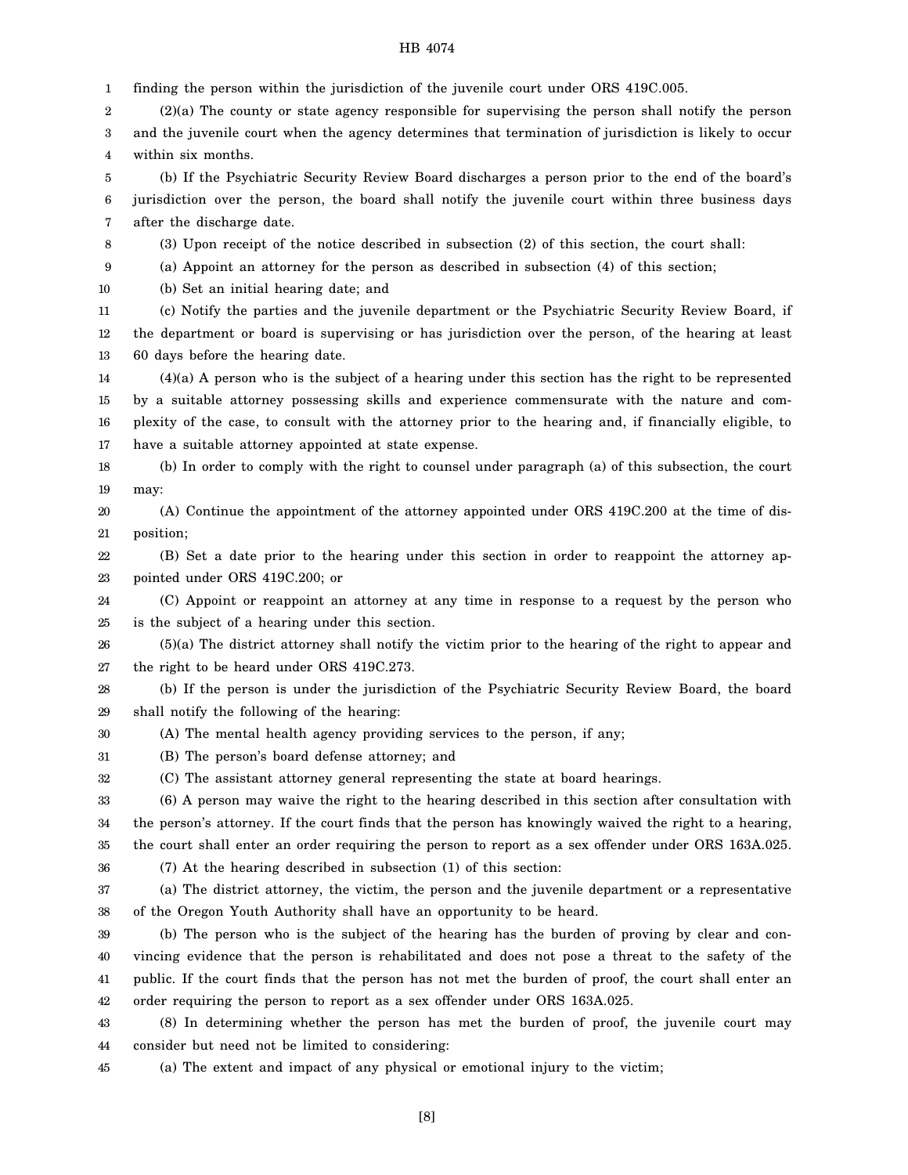1 finding the person within the jurisdiction of the juvenile court under ORS 419C.005.

2 3 4 (2)(a) The county or state agency responsible for supervising the person shall notify the person and the juvenile court when the agency determines that termination of jurisdiction is likely to occur within six months.

5 6 7 (b) If the Psychiatric Security Review Board discharges a person prior to the end of the board's jurisdiction over the person, the board shall notify the juvenile court within three business days after the discharge date.

8 (3) Upon receipt of the notice described in subsection (2) of this section, the court shall:

9 (a) Appoint an attorney for the person as described in subsection (4) of this section;

10 (b) Set an initial hearing date; and

11 12 13 (c) Notify the parties and the juvenile department or the Psychiatric Security Review Board, if the department or board is supervising or has jurisdiction over the person, of the hearing at least 60 days before the hearing date.

14 15 16 17 (4)(a) A person who is the subject of a hearing under this section has the right to be represented by a suitable attorney possessing skills and experience commensurate with the nature and complexity of the case, to consult with the attorney prior to the hearing and, if financially eligible, to have a suitable attorney appointed at state expense.

18 19 (b) In order to comply with the right to counsel under paragraph (a) of this subsection, the court may:

20 21 (A) Continue the appointment of the attorney appointed under ORS 419C.200 at the time of disposition;

22 23 (B) Set a date prior to the hearing under this section in order to reappoint the attorney appointed under ORS 419C.200; or

24 25 (C) Appoint or reappoint an attorney at any time in response to a request by the person who is the subject of a hearing under this section.

26 27 (5)(a) The district attorney shall notify the victim prior to the hearing of the right to appear and the right to be heard under ORS 419C.273.

28 29 (b) If the person is under the jurisdiction of the Psychiatric Security Review Board, the board shall notify the following of the hearing:

30 (A) The mental health agency providing services to the person, if any;

31 (B) The person's board defense attorney; and

32 (C) The assistant attorney general representing the state at board hearings.

33 34 35 (6) A person may waive the right to the hearing described in this section after consultation with the person's attorney. If the court finds that the person has knowingly waived the right to a hearing, the court shall enter an order requiring the person to report as a sex offender under ORS 163A.025.

36 (7) At the hearing described in subsection (1) of this section:

37 38 (a) The district attorney, the victim, the person and the juvenile department or a representative of the Oregon Youth Authority shall have an opportunity to be heard.

39 40 41 42 (b) The person who is the subject of the hearing has the burden of proving by clear and convincing evidence that the person is rehabilitated and does not pose a threat to the safety of the public. If the court finds that the person has not met the burden of proof, the court shall enter an order requiring the person to report as a sex offender under ORS 163A.025.

43 44 (8) In determining whether the person has met the burden of proof, the juvenile court may consider but need not be limited to considering:

45 (a) The extent and impact of any physical or emotional injury to the victim;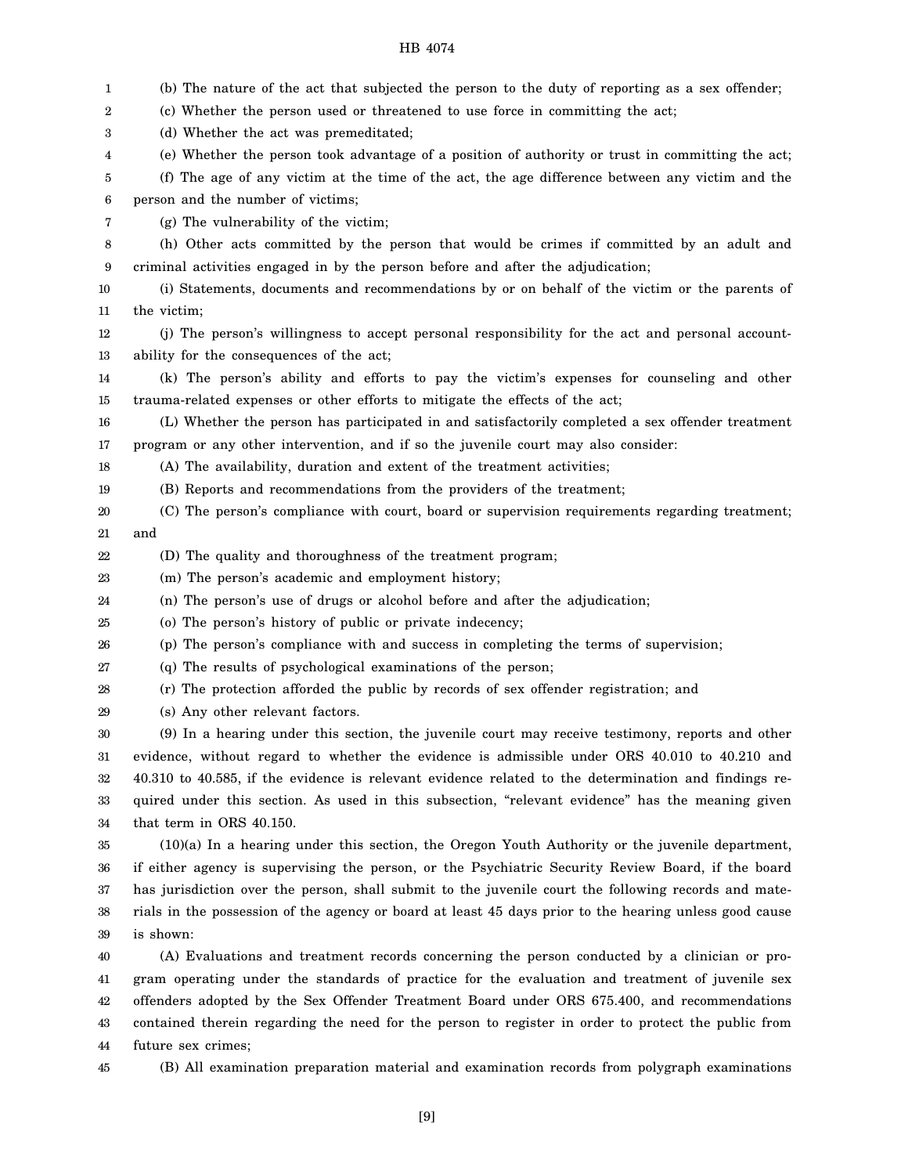| 1  | (b) The nature of the act that subjected the person to the duty of reporting as a sex offender;        |
|----|--------------------------------------------------------------------------------------------------------|
| 2  | (c) Whether the person used or threatened to use force in committing the act;                          |
| 3  | (d) Whether the act was premeditated;                                                                  |
| 4  | (e) Whether the person took advantage of a position of authority or trust in committing the act;       |
| 5  | (f) The age of any victim at the time of the act, the age difference between any victim and the        |
| 6  | person and the number of victims;                                                                      |
| 7  | (g) The vulnerability of the victim;                                                                   |
| 8  | (h) Other acts committed by the person that would be crimes if committed by an adult and               |
| 9  | criminal activities engaged in by the person before and after the adjudication;                        |
| 10 | (i) Statements, documents and recommendations by or on behalf of the victim or the parents of          |
| 11 | the victim;                                                                                            |
| 12 | (j) The person's willingness to accept personal responsibility for the act and personal account-       |
| 13 | ability for the consequences of the act;                                                               |
| 14 | (k) The person's ability and efforts to pay the victim's expenses for counseling and other             |
| 15 | trauma-related expenses or other efforts to mitigate the effects of the act;                           |
| 16 | (L) Whether the person has participated in and satisfactorily completed a sex offender treatment       |
| 17 | program or any other intervention, and if so the juvenile court may also consider:                     |
| 18 | (A) The availability, duration and extent of the treatment activities;                                 |
| 19 | (B) Reports and recommendations from the providers of the treatment;                                   |
| 20 | (C) The person's compliance with court, board or supervision requirements regarding treatment;         |
| 21 | and                                                                                                    |
| 22 | (D) The quality and thoroughness of the treatment program;                                             |
| 23 | (m) The person's academic and employment history;                                                      |
| 24 | (n) The person's use of drugs or alcohol before and after the adjudication;                            |
| 25 | (o) The person's history of public or private indecency;                                               |
| 26 | (p) The person's compliance with and success in completing the terms of supervision;                   |
| 27 | (q) The results of psychological examinations of the person;                                           |
| 28 | (r) The protection afforded the public by records of sex offender registration; and                    |
| 29 | (s) Any other relevant factors.                                                                        |
| 30 | (9) In a hearing under this section, the juvenile court may receive testimony, reports and other       |
| 31 | evidence, without regard to whether the evidence is admissible under ORS 40.010 to 40.210 and          |
| 32 | 40.310 to 40.585, if the evidence is relevant evidence related to the determination and findings re-   |
| 33 | quired under this section. As used in this subsection, "relevant evidence" has the meaning given       |
| 34 | that term in ORS 40.150.                                                                               |
| 35 | (10)(a) In a hearing under this section, the Oregon Youth Authority or the juvenile department,        |
| 36 | if either agency is supervising the person, or the Psychiatric Security Review Board, if the board     |
| 37 | has jurisdiction over the person, shall submit to the juvenile court the following records and mate-   |
| 38 | rials in the possession of the agency or board at least 45 days prior to the hearing unless good cause |
| 39 | is shown:                                                                                              |
| 40 | (A) Evaluations and treatment records concerning the person conducted by a clinician or pro-           |
| 41 | gram operating under the standards of practice for the evaluation and treatment of juvenile sex        |
| 42 | offenders adopted by the Sex Offender Treatment Board under ORS 675.400, and recommendations           |
| 43 | contained therein regarding the need for the person to register in order to protect the public from    |
| 44 | future sex crimes;                                                                                     |
| 45 | (B) All examination preparation material and examination records from polygraph examinations           |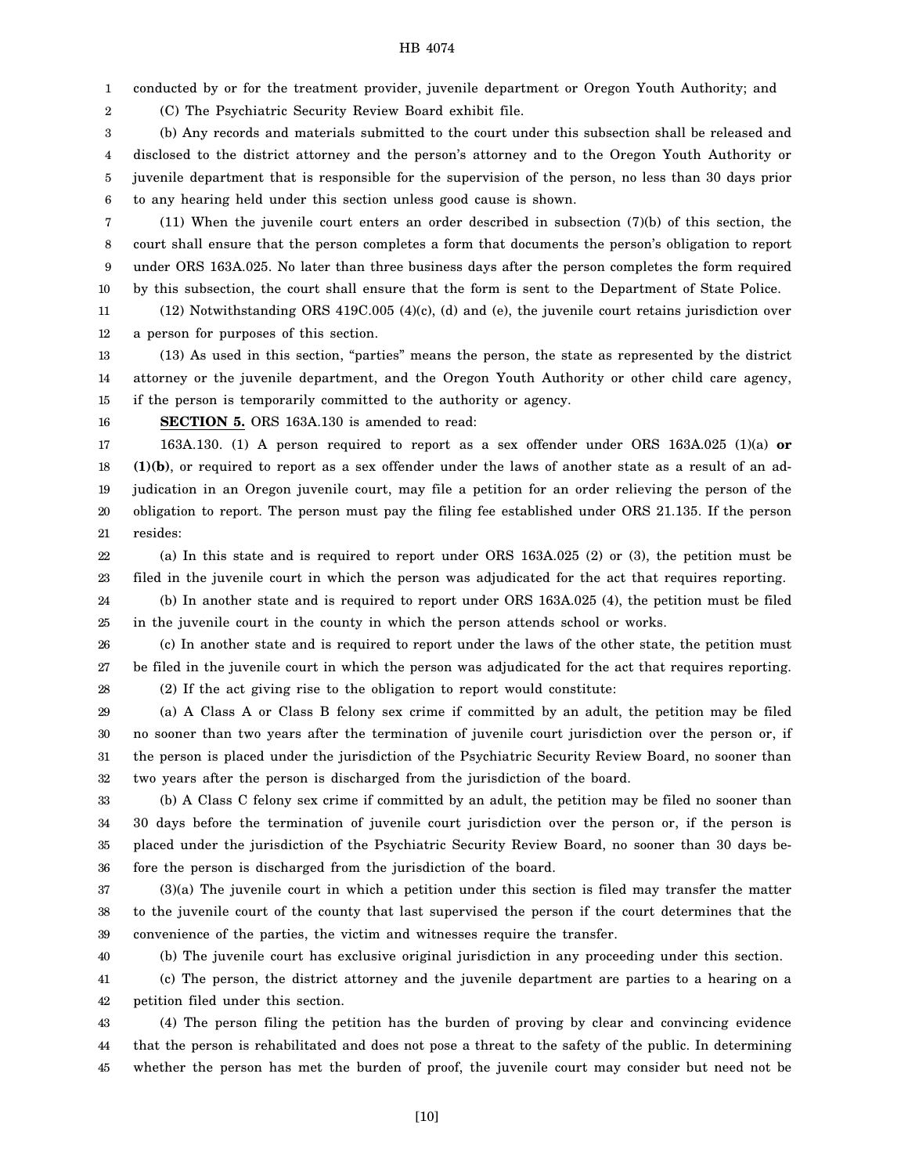1 conducted by or for the treatment provider, juvenile department or Oregon Youth Authority; and

(C) The Psychiatric Security Review Board exhibit file.

3 4 5 6 (b) Any records and materials submitted to the court under this subsection shall be released and disclosed to the district attorney and the person's attorney and to the Oregon Youth Authority or juvenile department that is responsible for the supervision of the person, no less than 30 days prior to any hearing held under this section unless good cause is shown.

7 8 9 10 (11) When the juvenile court enters an order described in subsection (7)(b) of this section, the court shall ensure that the person completes a form that documents the person's obligation to report under ORS 163A.025. No later than three business days after the person completes the form required by this subsection, the court shall ensure that the form is sent to the Department of State Police.

11 12 (12) Notwithstanding ORS 419C.005 (4)(c), (d) and (e), the juvenile court retains jurisdiction over a person for purposes of this section.

13 14 15 (13) As used in this section, "parties" means the person, the state as represented by the district attorney or the juvenile department, and the Oregon Youth Authority or other child care agency, if the person is temporarily committed to the authority or agency.

16

2

**SECTION 5.** ORS 163A.130 is amended to read:

17 18 19 20 21 163A.130. (1) A person required to report as a sex offender under ORS 163A.025 (1)(a) **or (1)(b)**, or required to report as a sex offender under the laws of another state as a result of an adjudication in an Oregon juvenile court, may file a petition for an order relieving the person of the obligation to report. The person must pay the filing fee established under ORS 21.135. If the person resides:

22 23 (a) In this state and is required to report under ORS 163A.025 (2) or (3), the petition must be filed in the juvenile court in which the person was adjudicated for the act that requires reporting.

24 25 (b) In another state and is required to report under ORS 163A.025 (4), the petition must be filed in the juvenile court in the county in which the person attends school or works.

26 27 28 (c) In another state and is required to report under the laws of the other state, the petition must be filed in the juvenile court in which the person was adjudicated for the act that requires reporting. (2) If the act giving rise to the obligation to report would constitute:

29 30 31 32 (a) A Class A or Class B felony sex crime if committed by an adult, the petition may be filed no sooner than two years after the termination of juvenile court jurisdiction over the person or, if the person is placed under the jurisdiction of the Psychiatric Security Review Board, no sooner than two years after the person is discharged from the jurisdiction of the board.

33 34 35 36 (b) A Class C felony sex crime if committed by an adult, the petition may be filed no sooner than 30 days before the termination of juvenile court jurisdiction over the person or, if the person is placed under the jurisdiction of the Psychiatric Security Review Board, no sooner than 30 days before the person is discharged from the jurisdiction of the board.

37 38 39 (3)(a) The juvenile court in which a petition under this section is filed may transfer the matter to the juvenile court of the county that last supervised the person if the court determines that the convenience of the parties, the victim and witnesses require the transfer.

40

(b) The juvenile court has exclusive original jurisdiction in any proceeding under this section.

41 42 (c) The person, the district attorney and the juvenile department are parties to a hearing on a petition filed under this section.

43 44 45 (4) The person filing the petition has the burden of proving by clear and convincing evidence that the person is rehabilitated and does not pose a threat to the safety of the public. In determining whether the person has met the burden of proof, the juvenile court may consider but need not be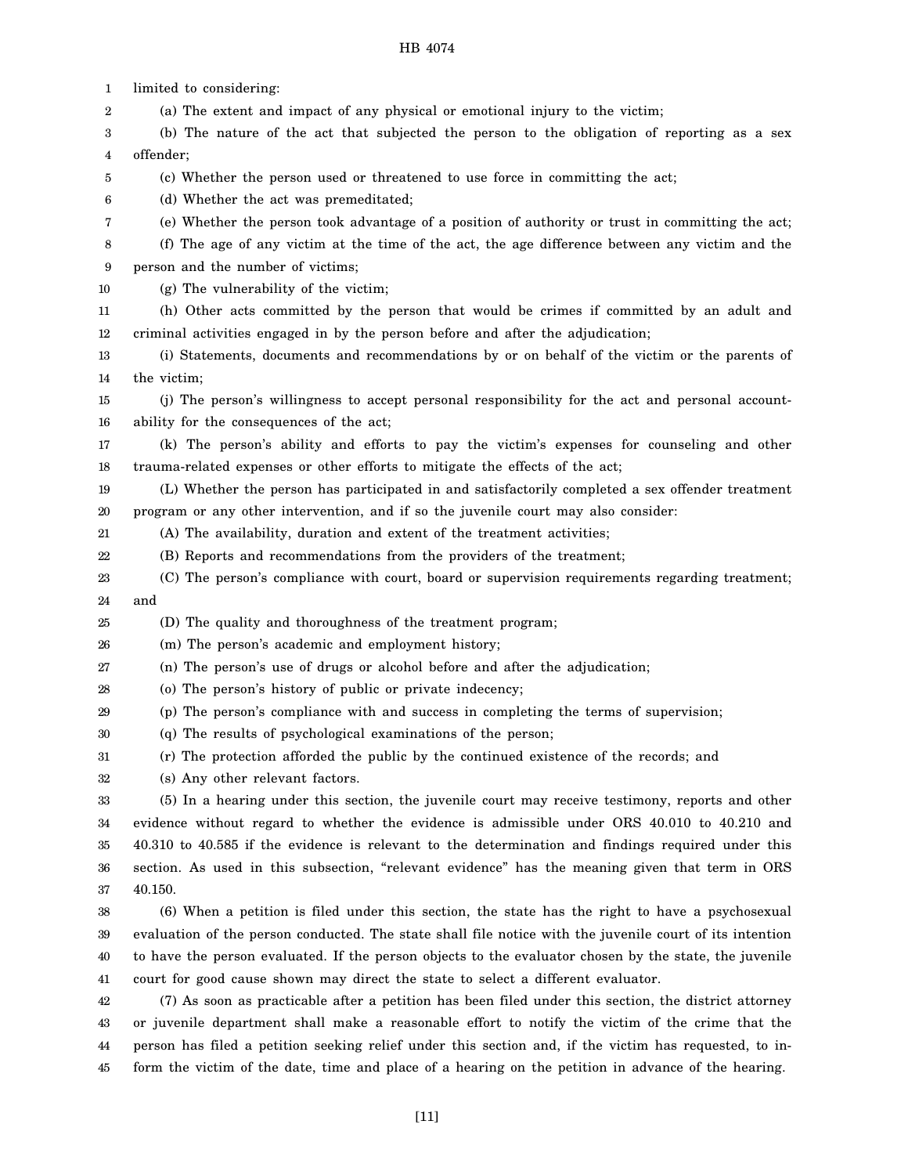1 2 3 4 5 6 7 8 9 10 11 12 13 14 15 16 17 18 19 20 21 22 23 24 25 26 27 28 29 30 31 32 33 34 35 36 37 38 39 40 41 42 43 44 limited to considering: (a) The extent and impact of any physical or emotional injury to the victim; (b) The nature of the act that subjected the person to the obligation of reporting as a sex offender; (c) Whether the person used or threatened to use force in committing the act; (d) Whether the act was premeditated; (e) Whether the person took advantage of a position of authority or trust in committing the act; (f) The age of any victim at the time of the act, the age difference between any victim and the person and the number of victims; (g) The vulnerability of the victim; (h) Other acts committed by the person that would be crimes if committed by an adult and criminal activities engaged in by the person before and after the adjudication; (i) Statements, documents and recommendations by or on behalf of the victim or the parents of the victim; (j) The person's willingness to accept personal responsibility for the act and personal accountability for the consequences of the act; (k) The person's ability and efforts to pay the victim's expenses for counseling and other trauma-related expenses or other efforts to mitigate the effects of the act; (L) Whether the person has participated in and satisfactorily completed a sex offender treatment program or any other intervention, and if so the juvenile court may also consider: (A) The availability, duration and extent of the treatment activities; (B) Reports and recommendations from the providers of the treatment; (C) The person's compliance with court, board or supervision requirements regarding treatment; and (D) The quality and thoroughness of the treatment program; (m) The person's academic and employment history; (n) The person's use of drugs or alcohol before and after the adjudication; (o) The person's history of public or private indecency; (p) The person's compliance with and success in completing the terms of supervision; (q) The results of psychological examinations of the person; (r) The protection afforded the public by the continued existence of the records; and (s) Any other relevant factors. (5) In a hearing under this section, the juvenile court may receive testimony, reports and other evidence without regard to whether the evidence is admissible under ORS 40.010 to 40.210 and 40.310 to 40.585 if the evidence is relevant to the determination and findings required under this section. As used in this subsection, "relevant evidence" has the meaning given that term in ORS 40.150. (6) When a petition is filed under this section, the state has the right to have a psychosexual evaluation of the person conducted. The state shall file notice with the juvenile court of its intention to have the person evaluated. If the person objects to the evaluator chosen by the state, the juvenile court for good cause shown may direct the state to select a different evaluator. (7) As soon as practicable after a petition has been filed under this section, the district attorney or juvenile department shall make a reasonable effort to notify the victim of the crime that the person has filed a petition seeking relief under this section and, if the victim has requested, to in-

45 form the victim of the date, time and place of a hearing on the petition in advance of the hearing.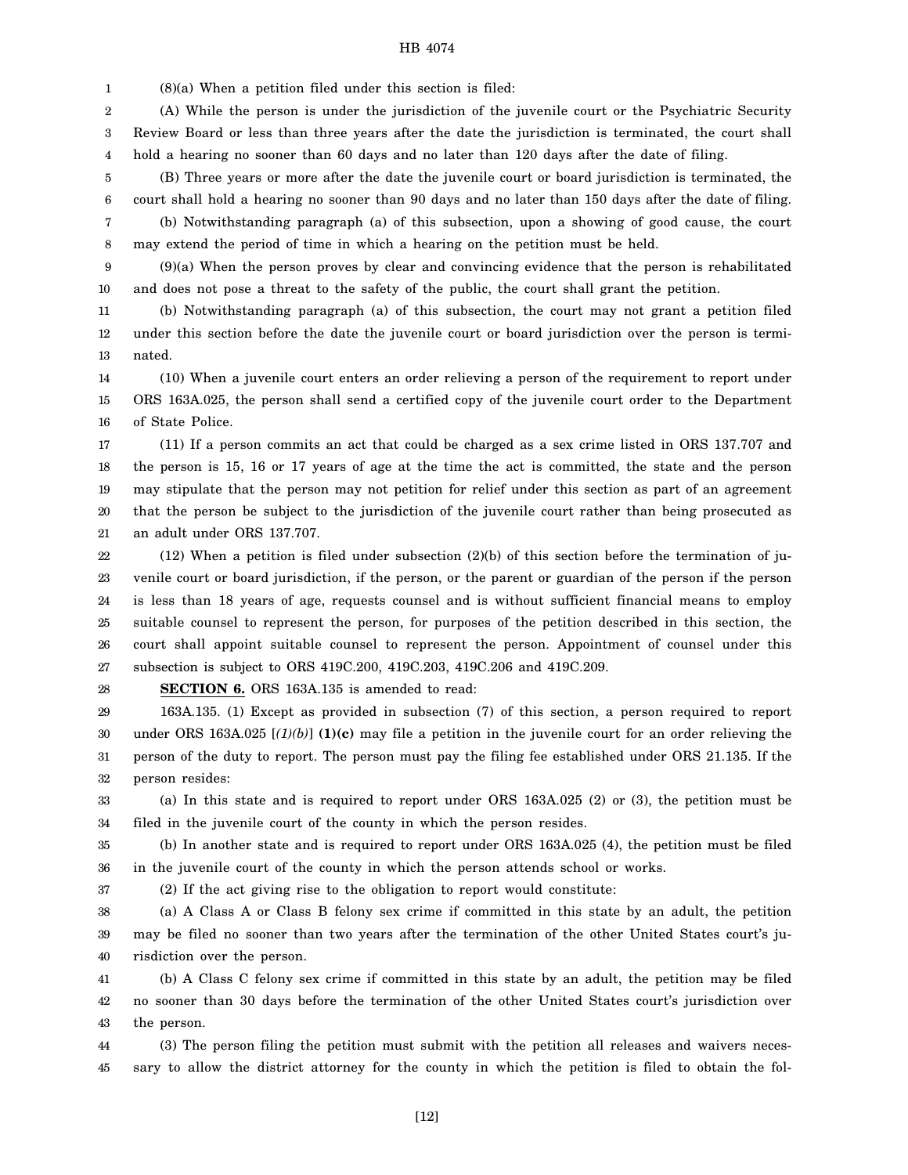1 (8)(a) When a petition filed under this section is filed:

2 3 4 (A) While the person is under the jurisdiction of the juvenile court or the Psychiatric Security Review Board or less than three years after the date the jurisdiction is terminated, the court shall hold a hearing no sooner than 60 days and no later than 120 days after the date of filing.

5 6 7 (B) Three years or more after the date the juvenile court or board jurisdiction is terminated, the court shall hold a hearing no sooner than 90 days and no later than 150 days after the date of filing. (b) Notwithstanding paragraph (a) of this subsection, upon a showing of good cause, the court

8 may extend the period of time in which a hearing on the petition must be held.

9 10 (9)(a) When the person proves by clear and convincing evidence that the person is rehabilitated and does not pose a threat to the safety of the public, the court shall grant the petition.

11 12 13 (b) Notwithstanding paragraph (a) of this subsection, the court may not grant a petition filed under this section before the date the juvenile court or board jurisdiction over the person is terminated.

14 15 16 (10) When a juvenile court enters an order relieving a person of the requirement to report under ORS 163A.025, the person shall send a certified copy of the juvenile court order to the Department of State Police.

17 18 19 20 21 (11) If a person commits an act that could be charged as a sex crime listed in ORS 137.707 and the person is 15, 16 or 17 years of age at the time the act is committed, the state and the person may stipulate that the person may not petition for relief under this section as part of an agreement that the person be subject to the jurisdiction of the juvenile court rather than being prosecuted as an adult under ORS 137.707.

22 23 24 25 26 27  $(12)$  When a petition is filed under subsection  $(2)(b)$  of this section before the termination of juvenile court or board jurisdiction, if the person, or the parent or guardian of the person if the person is less than 18 years of age, requests counsel and is without sufficient financial means to employ suitable counsel to represent the person, for purposes of the petition described in this section, the court shall appoint suitable counsel to represent the person. Appointment of counsel under this subsection is subject to ORS 419C.200, 419C.203, 419C.206 and 419C.209.

28

**SECTION 6.** ORS 163A.135 is amended to read:

29 30 31 32 163A.135. (1) Except as provided in subsection (7) of this section, a person required to report under ORS 163A.025 [*(1)(b)*] **(1)(c)** may file a petition in the juvenile court for an order relieving the person of the duty to report. The person must pay the filing fee established under ORS 21.135. If the person resides:

33 34 (a) In this state and is required to report under ORS 163A.025 (2) or (3), the petition must be filed in the juvenile court of the county in which the person resides.

35 36 (b) In another state and is required to report under ORS 163A.025 (4), the petition must be filed in the juvenile court of the county in which the person attends school or works.

37

(2) If the act giving rise to the obligation to report would constitute:

38 39 40 (a) A Class A or Class B felony sex crime if committed in this state by an adult, the petition may be filed no sooner than two years after the termination of the other United States court's jurisdiction over the person.

41 42 43 (b) A Class C felony sex crime if committed in this state by an adult, the petition may be filed no sooner than 30 days before the termination of the other United States court's jurisdiction over the person.

44 45 (3) The person filing the petition must submit with the petition all releases and waivers necessary to allow the district attorney for the county in which the petition is filed to obtain the fol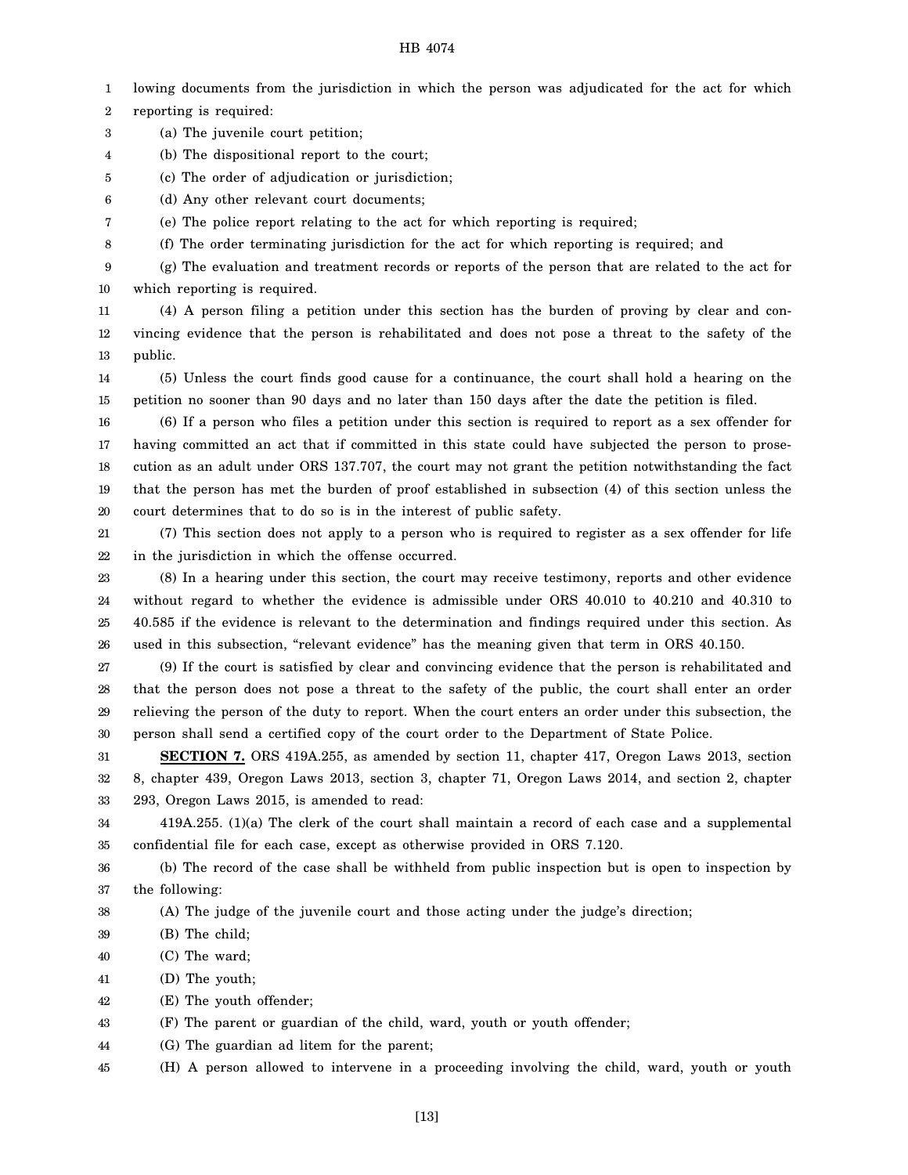1 lowing documents from the jurisdiction in which the person was adjudicated for the act for which

2 reporting is required:

- 3 (a) The juvenile court petition;
- 4 (b) The dispositional report to the court;
- 5 (c) The order of adjudication or jurisdiction;
- 6 (d) Any other relevant court documents;
- 7 (e) The police report relating to the act for which reporting is required;
- 8 (f) The order terminating jurisdiction for the act for which reporting is required; and

9 10 (g) The evaluation and treatment records or reports of the person that are related to the act for which reporting is required.

11 12 13 (4) A person filing a petition under this section has the burden of proving by clear and convincing evidence that the person is rehabilitated and does not pose a threat to the safety of the public.

14 15 (5) Unless the court finds good cause for a continuance, the court shall hold a hearing on the petition no sooner than 90 days and no later than 150 days after the date the petition is filed.

16 17 18 19 20 (6) If a person who files a petition under this section is required to report as a sex offender for having committed an act that if committed in this state could have subjected the person to prosecution as an adult under ORS 137.707, the court may not grant the petition notwithstanding the fact that the person has met the burden of proof established in subsection (4) of this section unless the court determines that to do so is in the interest of public safety.

21 22 (7) This section does not apply to a person who is required to register as a sex offender for life in the jurisdiction in which the offense occurred.

23 24 25 26 (8) In a hearing under this section, the court may receive testimony, reports and other evidence without regard to whether the evidence is admissible under ORS 40.010 to 40.210 and 40.310 to 40.585 if the evidence is relevant to the determination and findings required under this section. As used in this subsection, "relevant evidence" has the meaning given that term in ORS 40.150.

27 28 29 30 (9) If the court is satisfied by clear and convincing evidence that the person is rehabilitated and that the person does not pose a threat to the safety of the public, the court shall enter an order relieving the person of the duty to report. When the court enters an order under this subsection, the person shall send a certified copy of the court order to the Department of State Police.

31 32 33 **SECTION 7.** ORS 419A.255, as amended by section 11, chapter 417, Oregon Laws 2013, section 8, chapter 439, Oregon Laws 2013, section 3, chapter 71, Oregon Laws 2014, and section 2, chapter 293, Oregon Laws 2015, is amended to read:

34 35 419A.255. (1)(a) The clerk of the court shall maintain a record of each case and a supplemental confidential file for each case, except as otherwise provided in ORS 7.120.

36 37 (b) The record of the case shall be withheld from public inspection but is open to inspection by the following:

38 (A) The judge of the juvenile court and those acting under the judge's direction;

- 39 (B) The child;
- 40 (C) The ward;

41 (D) The youth;

42 (E) The youth offender;

43 (F) The parent or guardian of the child, ward, youth or youth offender;

44 (G) The guardian ad litem for the parent;

45 (H) A person allowed to intervene in a proceeding involving the child, ward, youth or youth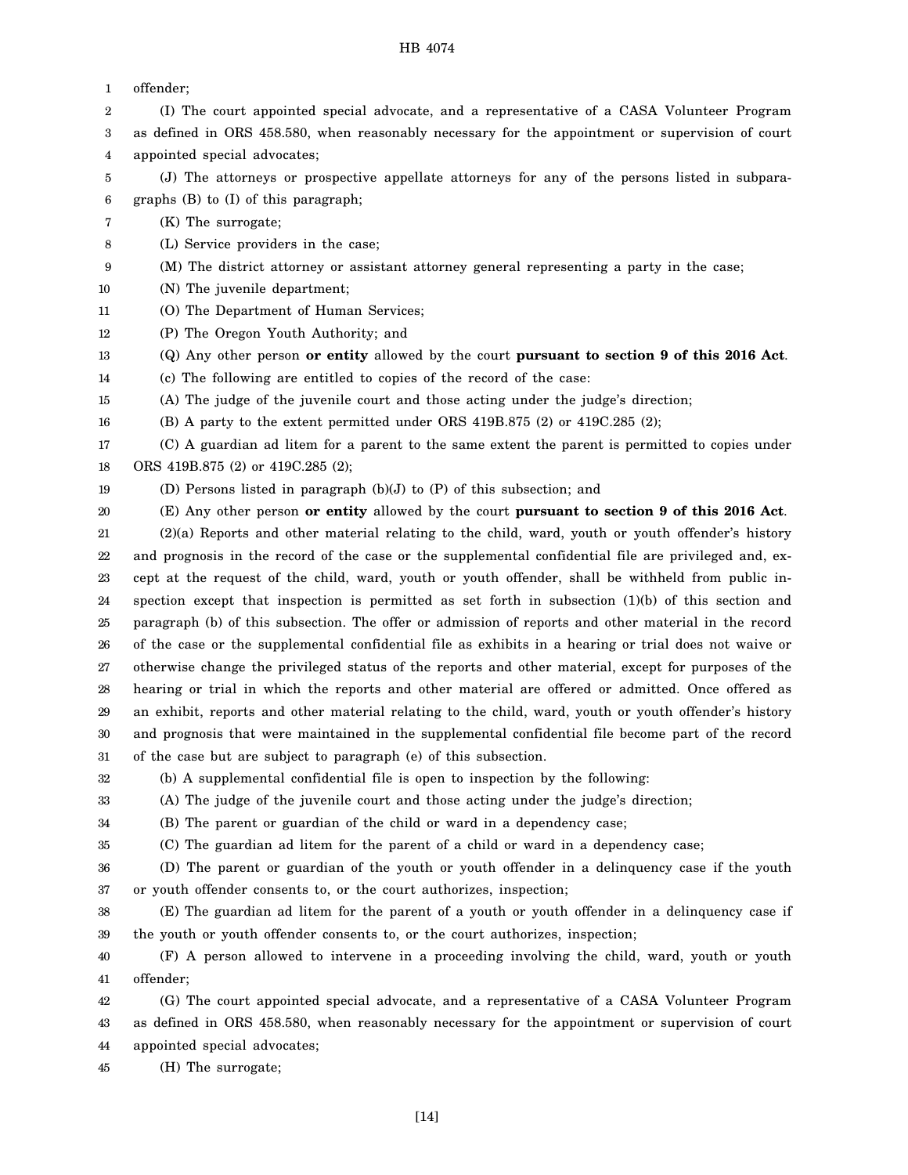| 1  | offender;                                                                                             |
|----|-------------------------------------------------------------------------------------------------------|
| 2  | (I) The court appointed special advocate, and a representative of a CASA Volunteer Program            |
| 3  | as defined in ORS 458.580, when reasonably necessary for the appointment or supervision of court      |
| 4  | appointed special advocates;                                                                          |
| 5  | (J) The attorneys or prospective appellate attorneys for any of the persons listed in subpara-        |
| 6  | graphs (B) to (I) of this paragraph;                                                                  |
| 7  | (K) The surrogate;                                                                                    |
| 8  | (L) Service providers in the case;                                                                    |
| 9  | (M) The district attorney or assistant attorney general representing a party in the case;             |
| 10 | (N) The juvenile department;                                                                          |
| 11 | (O) The Department of Human Services;                                                                 |
| 12 | (P) The Oregon Youth Authority; and                                                                   |
| 13 | (Q) Any other person or entity allowed by the court pursuant to section 9 of this 2016 Act.           |
| 14 | (c) The following are entitled to copies of the record of the case:                                   |
| 15 | (A) The judge of the juvenile court and those acting under the judge's direction;                     |
| 16 | (B) A party to the extent permitted under ORS 419B.875 (2) or 419C.285 (2);                           |
| 17 | (C) A guardian ad litem for a parent to the same extent the parent is permitted to copies under       |
| 18 | ORS 419B.875 (2) or 419C.285 (2);                                                                     |
| 19 | (D) Persons listed in paragraph $(b)(J)$ to $(P)$ of this subsection; and                             |
| 20 | (E) Any other person or entity allowed by the court pursuant to section 9 of this 2016 Act.           |
| 21 | (2)(a) Reports and other material relating to the child, ward, youth or youth offender's history      |
| 22 | and prognosis in the record of the case or the supplemental confidential file are privileged and, ex- |
| 23 | cept at the request of the child, ward, youth or youth offender, shall be withheld from public in-    |
| 24 | spection except that inspection is permitted as set forth in subsection (1)(b) of this section and    |
| 25 | paragraph (b) of this subsection. The offer or admission of reports and other material in the record  |
| 26 | of the case or the supplemental confidential file as exhibits in a hearing or trial does not waive or |
| 27 | otherwise change the privileged status of the reports and other material, except for purposes of the  |
| 28 | hearing or trial in which the reports and other material are offered or admitted. Once offered as     |
| 29 | an exhibit, reports and other material relating to the child, ward, youth or youth offender's history |
| 30 | and prognosis that were maintained in the supplemental confidential file become part of the record    |
| 31 | of the case but are subject to paragraph (e) of this subsection.                                      |
| 32 | (b) A supplemental confidential file is open to inspection by the following:                          |
| 33 | (A) The judge of the juvenile court and those acting under the judge's direction;                     |
| 34 | (B) The parent or guardian of the child or ward in a dependency case;                                 |
| 35 | (C) The guardian ad litem for the parent of a child or ward in a dependency case;                     |
| 36 | (D) The parent or guardian of the youth or youth offender in a delinquency case if the youth          |
| 37 | or youth offender consents to, or the court authorizes, inspection;                                   |
| 38 | (E) The guardian ad litem for the parent of a youth or youth offender in a delinquency case if        |
| 39 | the youth or youth offender consents to, or the court authorizes, inspection;                         |
| 40 | (F) A person allowed to intervene in a proceeding involving the child, ward, youth or youth           |
| 41 | offender;                                                                                             |
| 42 | (G) The court appointed special advocate, and a representative of a CASA Volunteer Program            |
| 43 | as defined in ORS 458.580, when reasonably necessary for the appointment or supervision of court      |
| 44 | appointed special advocates;                                                                          |

45 (H) The surrogate;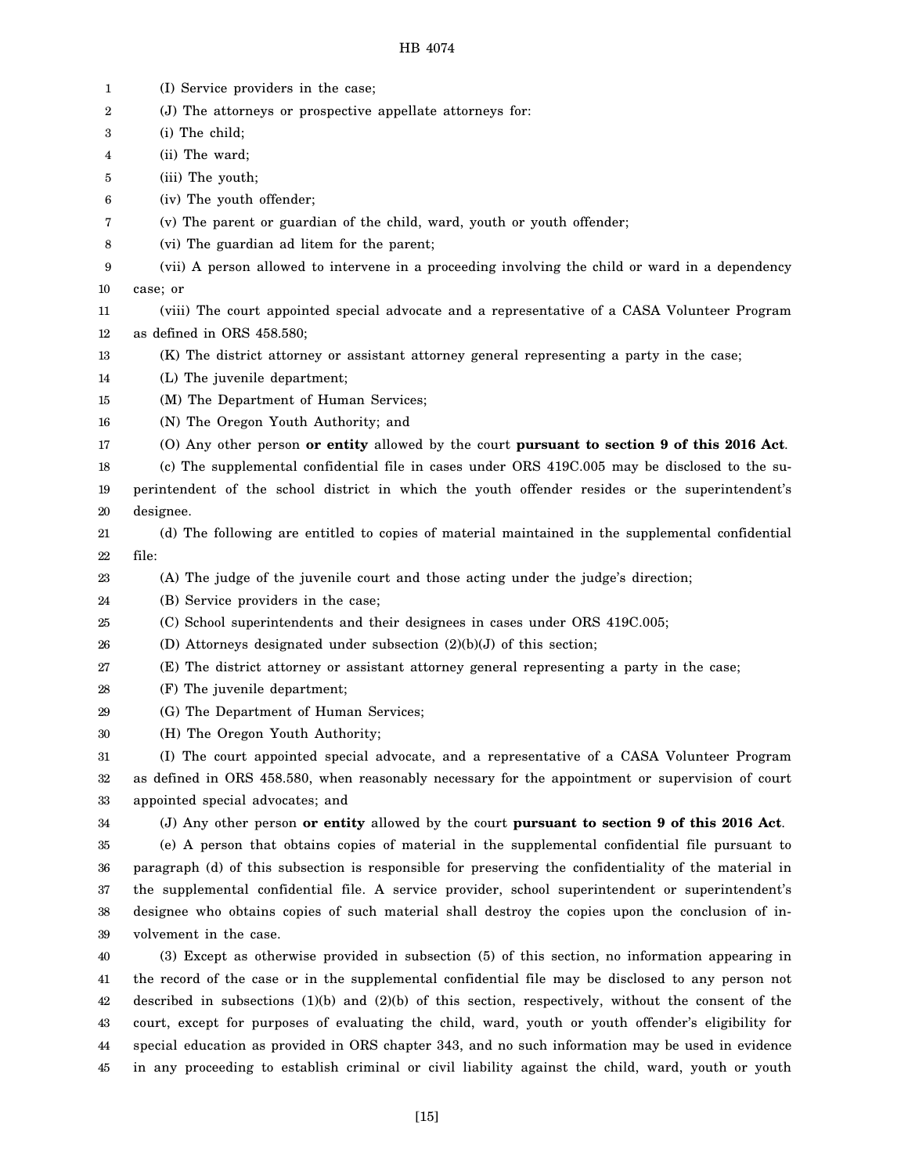| 1  | (I) Service providers in the case;                                                                       |
|----|----------------------------------------------------------------------------------------------------------|
| 2  | (J) The attorneys or prospective appellate attorneys for:                                                |
| 3  | (i) The child;                                                                                           |
| 4  | (ii) The ward;                                                                                           |
| 5  | (iii) The youth;                                                                                         |
| 6  | (iv) The youth offender;                                                                                 |
| 7  | (v) The parent or guardian of the child, ward, youth or youth offender;                                  |
| 8  | (vi) The guardian ad litem for the parent;                                                               |
| 9  | (vii) A person allowed to intervene in a proceeding involving the child or ward in a dependency          |
| 10 | case; or                                                                                                 |
| 11 | (viii) The court appointed special advocate and a representative of a CASA Volunteer Program             |
| 12 | as defined in ORS 458.580;                                                                               |
| 13 | (K) The district attorney or assistant attorney general representing a party in the case;                |
| 14 | (L) The juvenile department;                                                                             |
| 15 | (M) The Department of Human Services;                                                                    |
| 16 | (N) The Oregon Youth Authority; and                                                                      |
| 17 | (O) Any other person or entity allowed by the court pursuant to section 9 of this 2016 Act.              |
| 18 | (c) The supplemental confidential file in cases under ORS 419C.005 may be disclosed to the su-           |
| 19 | perintendent of the school district in which the youth offender resides or the superintendent's          |
| 20 | designee.                                                                                                |
| 21 | (d) The following are entitled to copies of material maintained in the supplemental confidential         |
| 22 | file:                                                                                                    |
| 23 | (A) The judge of the juvenile court and those acting under the judge's direction;                        |
| 24 | (B) Service providers in the case;                                                                       |
| 25 | (C) School superintendents and their designees in cases under ORS 419C.005;                              |
| 26 | (D) Attorneys designated under subsection $(2)(b)(J)$ of this section;                                   |
| 27 | (E) The district attorney or assistant attorney general representing a party in the case;                |
| 28 | (F) The juvenile department;                                                                             |
| 29 | (G) The Department of Human Services;                                                                    |
| 30 | (H) The Oregon Youth Authority;                                                                          |
| 31 | (I) The court appointed special advocate, and a representative of a CASA Volunteer Program               |
| 32 | as defined in ORS 458.580, when reasonably necessary for the appointment or supervision of court         |
| 33 | appointed special advocates; and                                                                         |
| 34 | (J) Any other person or entity allowed by the court pursuant to section 9 of this 2016 Act.              |
| 35 | (e) A person that obtains copies of material in the supplemental confidential file pursuant to           |
| 36 | paragraph (d) of this subsection is responsible for preserving the confidentiality of the material in    |
| 37 | the supplemental confidential file. A service provider, school superintendent or superintendent's        |
| 38 | designee who obtains copies of such material shall destroy the copies upon the conclusion of in-         |
| 39 | volvement in the case.                                                                                   |
| 40 | (3) Except as otherwise provided in subsection (5) of this section, no information appearing in          |
| 41 | the record of the case or in the supplemental confidential file may be disclosed to any person not       |
| 42 | described in subsections $(1)(b)$ and $(2)(b)$ of this section, respectively, without the consent of the |
| 43 | court, except for purposes of evaluating the child, ward, youth or youth offender's eligibility for      |
| 44 | special education as provided in ORS chapter 343, and no such information may be used in evidence        |
| 45 | in any proceeding to establish criminal or civil liability against the child, ward, youth or youth       |

[15]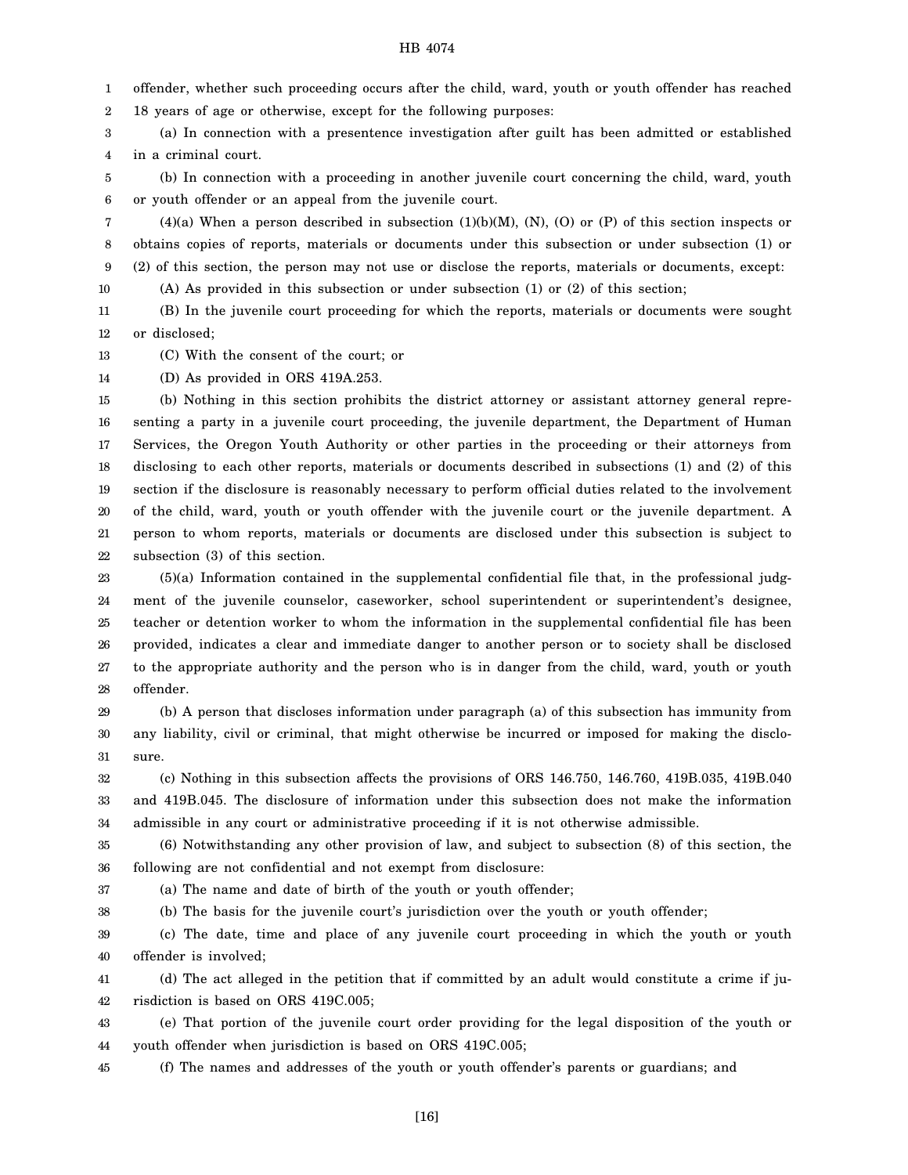1 offender, whether such proceeding occurs after the child, ward, youth or youth offender has reached

2 18 years of age or otherwise, except for the following purposes:

3 4 (a) In connection with a presentence investigation after guilt has been admitted or established in a criminal court.

5 6 (b) In connection with a proceeding in another juvenile court concerning the child, ward, youth or youth offender or an appeal from the juvenile court.

7 8 9  $(4)(a)$  When a person described in subsection  $(1)(b)(M)$ ,  $(N)$ ,  $(0)$  or  $(P)$  of this section inspects or obtains copies of reports, materials or documents under this subsection or under subsection (1) or (2) of this section, the person may not use or disclose the reports, materials or documents, except:

10 (A) As provided in this subsection or under subsection (1) or (2) of this section;

11 12 (B) In the juvenile court proceeding for which the reports, materials or documents were sought or disclosed;

13 (C) With the consent of the court; or

14 (D) As provided in ORS 419A.253.

37

15 16 17 18 19 20 21 22 (b) Nothing in this section prohibits the district attorney or assistant attorney general representing a party in a juvenile court proceeding, the juvenile department, the Department of Human Services, the Oregon Youth Authority or other parties in the proceeding or their attorneys from disclosing to each other reports, materials or documents described in subsections (1) and (2) of this section if the disclosure is reasonably necessary to perform official duties related to the involvement of the child, ward, youth or youth offender with the juvenile court or the juvenile department. A person to whom reports, materials or documents are disclosed under this subsection is subject to subsection (3) of this section.

23 24 25 26 27 28 (5)(a) Information contained in the supplemental confidential file that, in the professional judgment of the juvenile counselor, caseworker, school superintendent or superintendent's designee, teacher or detention worker to whom the information in the supplemental confidential file has been provided, indicates a clear and immediate danger to another person or to society shall be disclosed to the appropriate authority and the person who is in danger from the child, ward, youth or youth offender.

29 30 31 (b) A person that discloses information under paragraph (a) of this subsection has immunity from any liability, civil or criminal, that might otherwise be incurred or imposed for making the disclosure.

32 33 34 (c) Nothing in this subsection affects the provisions of ORS 146.750, 146.760, 419B.035, 419B.040 and 419B.045. The disclosure of information under this subsection does not make the information admissible in any court or administrative proceeding if it is not otherwise admissible.

35 36 (6) Notwithstanding any other provision of law, and subject to subsection (8) of this section, the following are not confidential and not exempt from disclosure:

(a) The name and date of birth of the youth or youth offender;

38 (b) The basis for the juvenile court's jurisdiction over the youth or youth offender;

39 40 (c) The date, time and place of any juvenile court proceeding in which the youth or youth offender is involved;

41 42 (d) The act alleged in the petition that if committed by an adult would constitute a crime if jurisdiction is based on ORS 419C.005;

43 44 (e) That portion of the juvenile court order providing for the legal disposition of the youth or youth offender when jurisdiction is based on ORS 419C.005;

45 (f) The names and addresses of the youth or youth offender's parents or guardians; and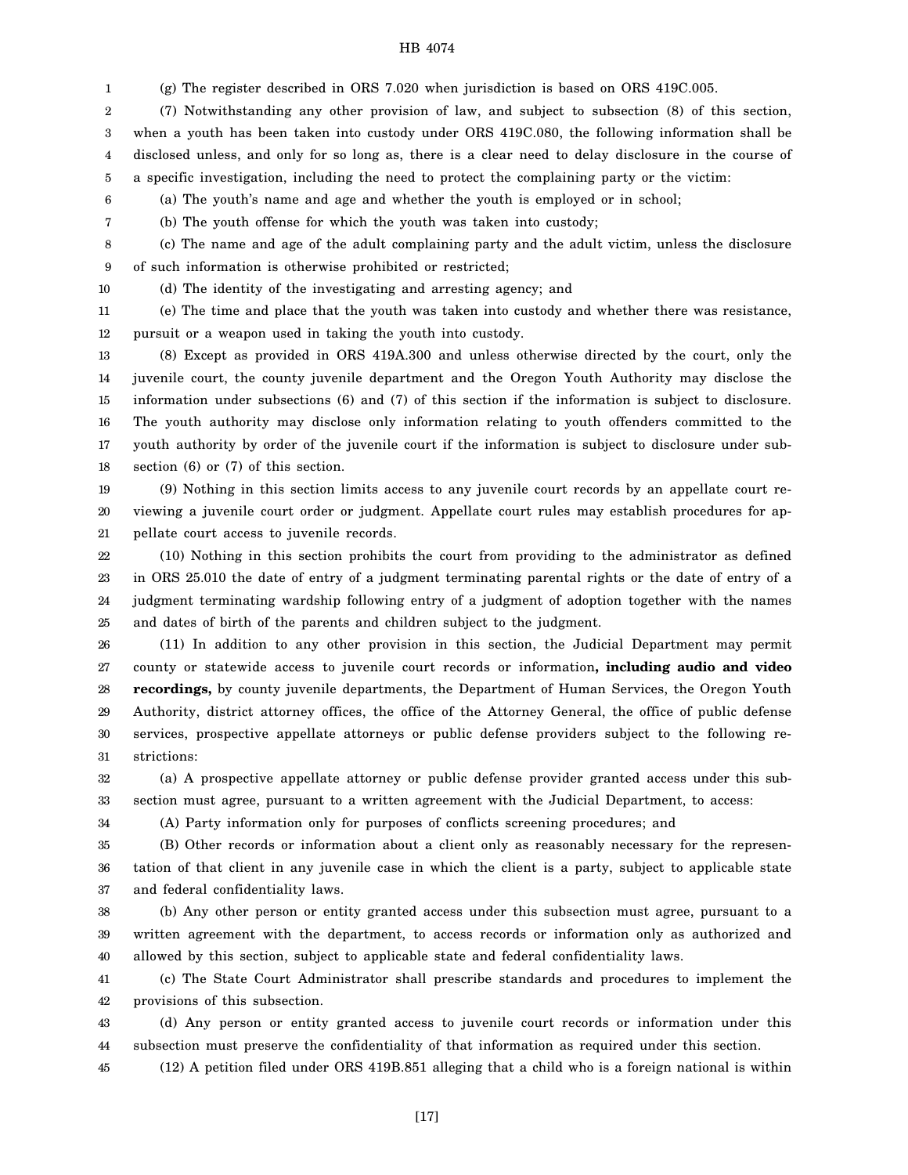1 (g) The register described in ORS 7.020 when jurisdiction is based on ORS 419C.005.

2 3 4 5 (7) Notwithstanding any other provision of law, and subject to subsection (8) of this section, when a youth has been taken into custody under ORS 419C.080, the following information shall be disclosed unless, and only for so long as, there is a clear need to delay disclosure in the course of a specific investigation, including the need to protect the complaining party or the victim:

6 (a) The youth's name and age and whether the youth is employed or in school;

(b) The youth offense for which the youth was taken into custody;

8 9 (c) The name and age of the adult complaining party and the adult victim, unless the disclosure of such information is otherwise prohibited or restricted;

10

7

(d) The identity of the investigating and arresting agency; and

11 12 (e) The time and place that the youth was taken into custody and whether there was resistance, pursuit or a weapon used in taking the youth into custody.

13 14 15 16 17 18 (8) Except as provided in ORS 419A.300 and unless otherwise directed by the court, only the juvenile court, the county juvenile department and the Oregon Youth Authority may disclose the information under subsections (6) and (7) of this section if the information is subject to disclosure. The youth authority may disclose only information relating to youth offenders committed to the youth authority by order of the juvenile court if the information is subject to disclosure under subsection (6) or (7) of this section.

19 20 21 (9) Nothing in this section limits access to any juvenile court records by an appellate court reviewing a juvenile court order or judgment. Appellate court rules may establish procedures for appellate court access to juvenile records.

22 23 24 25 (10) Nothing in this section prohibits the court from providing to the administrator as defined in ORS 25.010 the date of entry of a judgment terminating parental rights or the date of entry of a judgment terminating wardship following entry of a judgment of adoption together with the names and dates of birth of the parents and children subject to the judgment.

26 27 28 29 30 31 (11) In addition to any other provision in this section, the Judicial Department may permit county or statewide access to juvenile court records or information**, including audio and video recordings,** by county juvenile departments, the Department of Human Services, the Oregon Youth Authority, district attorney offices, the office of the Attorney General, the office of public defense services, prospective appellate attorneys or public defense providers subject to the following restrictions:

32 33 (a) A prospective appellate attorney or public defense provider granted access under this subsection must agree, pursuant to a written agreement with the Judicial Department, to access:

34

(A) Party information only for purposes of conflicts screening procedures; and

35 36 37 (B) Other records or information about a client only as reasonably necessary for the representation of that client in any juvenile case in which the client is a party, subject to applicable state and federal confidentiality laws.

38 39 40 (b) Any other person or entity granted access under this subsection must agree, pursuant to a written agreement with the department, to access records or information only as authorized and allowed by this section, subject to applicable state and federal confidentiality laws.

41 42 (c) The State Court Administrator shall prescribe standards and procedures to implement the provisions of this subsection.

43 44 (d) Any person or entity granted access to juvenile court records or information under this subsection must preserve the confidentiality of that information as required under this section.

45 (12) A petition filed under ORS 419B.851 alleging that a child who is a foreign national is within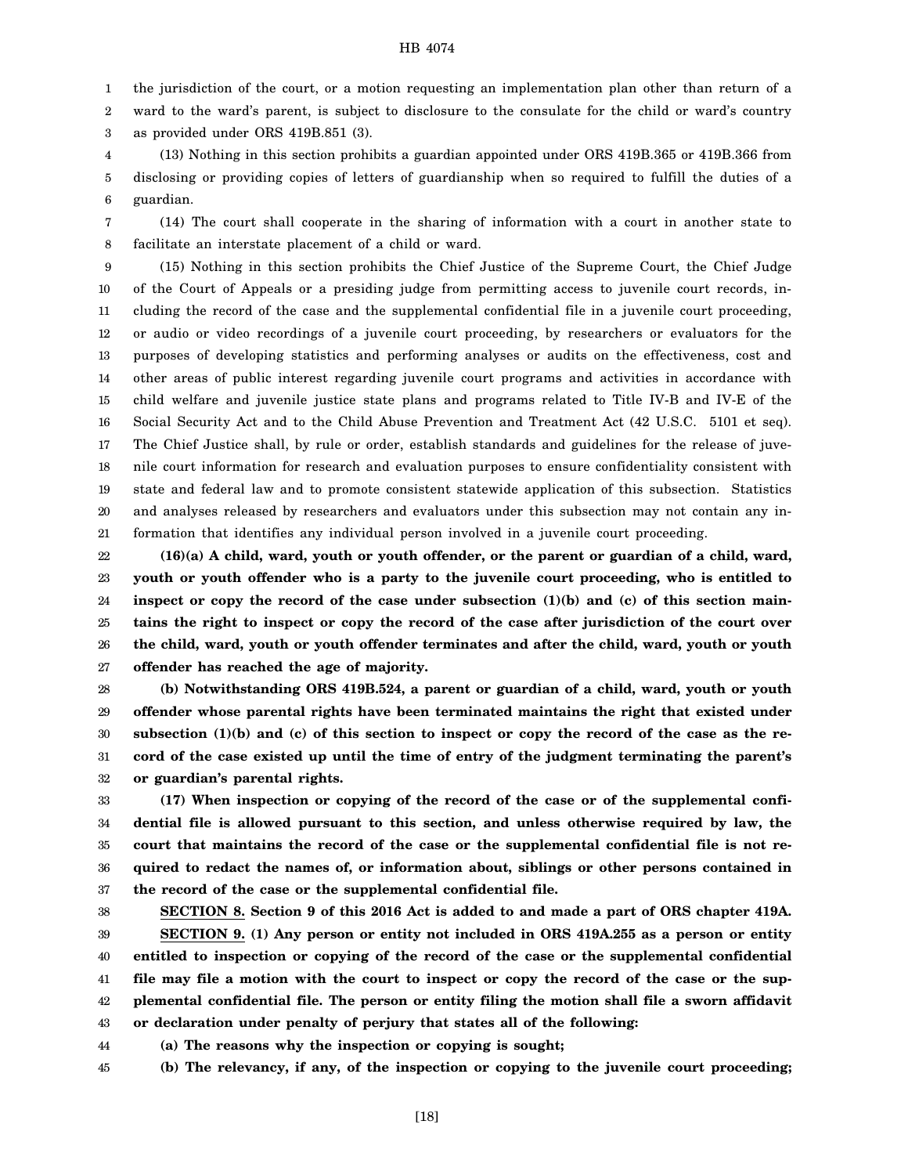1 the jurisdiction of the court, or a motion requesting an implementation plan other than return of a

2 ward to the ward's parent, is subject to disclosure to the consulate for the child or ward's country

3 as provided under ORS 419B.851 (3).

4 5 6 (13) Nothing in this section prohibits a guardian appointed under ORS 419B.365 or 419B.366 from disclosing or providing copies of letters of guardianship when so required to fulfill the duties of a guardian.

7 8 (14) The court shall cooperate in the sharing of information with a court in another state to facilitate an interstate placement of a child or ward.

9 10 11 12 13 14 15 16 17 18 19 20 21 (15) Nothing in this section prohibits the Chief Justice of the Supreme Court, the Chief Judge of the Court of Appeals or a presiding judge from permitting access to juvenile court records, including the record of the case and the supplemental confidential file in a juvenile court proceeding, or audio or video recordings of a juvenile court proceeding, by researchers or evaluators for the purposes of developing statistics and performing analyses or audits on the effectiveness, cost and other areas of public interest regarding juvenile court programs and activities in accordance with child welfare and juvenile justice state plans and programs related to Title IV-B and IV-E of the Social Security Act and to the Child Abuse Prevention and Treatment Act (42 U.S.C. 5101 et seq). The Chief Justice shall, by rule or order, establish standards and guidelines for the release of juvenile court information for research and evaluation purposes to ensure confidentiality consistent with state and federal law and to promote consistent statewide application of this subsection. Statistics and analyses released by researchers and evaluators under this subsection may not contain any information that identifies any individual person involved in a juvenile court proceeding.

22 23 24 25 26 27 **(16)(a) A child, ward, youth or youth offender, or the parent or guardian of a child, ward, youth or youth offender who is a party to the juvenile court proceeding, who is entitled to inspect or copy the record of the case under subsection (1)(b) and (c) of this section maintains the right to inspect or copy the record of the case after jurisdiction of the court over the child, ward, youth or youth offender terminates and after the child, ward, youth or youth offender has reached the age of majority.**

28 29 30 31 32 **(b) Notwithstanding ORS 419B.524, a parent or guardian of a child, ward, youth or youth offender whose parental rights have been terminated maintains the right that existed under subsection (1)(b) and (c) of this section to inspect or copy the record of the case as the record of the case existed up until the time of entry of the judgment terminating the parent's or guardian's parental rights.**

33 34 35 36 37 **(17) When inspection or copying of the record of the case or of the supplemental confidential file is allowed pursuant to this section, and unless otherwise required by law, the court that maintains the record of the case or the supplemental confidential file is not required to redact the names of, or information about, siblings or other persons contained in the record of the case or the supplemental confidential file.**

38 39 40 41 42 43 **SECTION 8. Section 9 of this 2016 Act is added to and made a part of ORS chapter 419A. SECTION 9. (1) Any person or entity not included in ORS 419A.255 as a person or entity entitled to inspection or copying of the record of the case or the supplemental confidential file may file a motion with the court to inspect or copy the record of the case or the supplemental confidential file. The person or entity filing the motion shall file a sworn affidavit or declaration under penalty of perjury that states all of the following:**

44 **(a) The reasons why the inspection or copying is sought;**

45 **(b) The relevancy, if any, of the inspection or copying to the juvenile court proceeding;**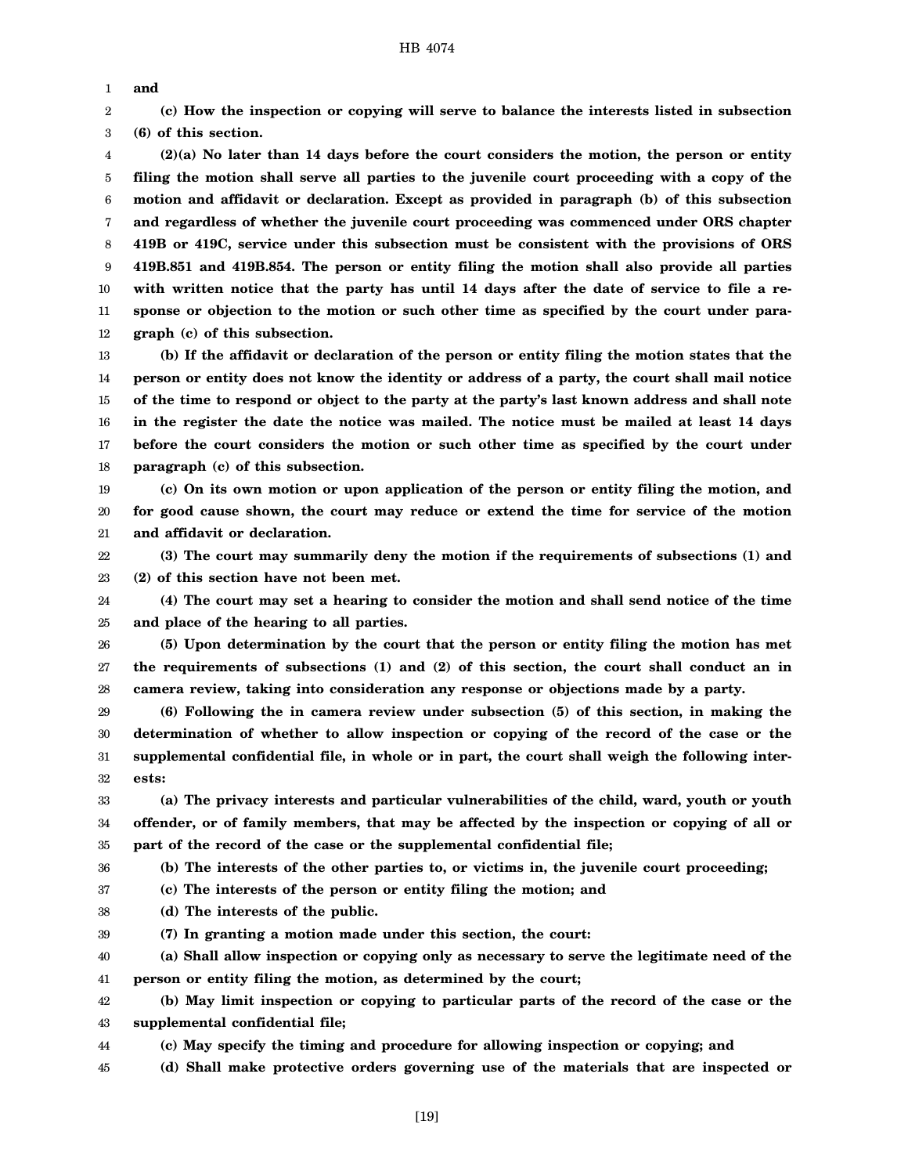1 **and**

2 3 **(c) How the inspection or copying will serve to balance the interests listed in subsection (6) of this section.**

4 5 6 7 8 9 10 11 12 **(2)(a) No later than 14 days before the court considers the motion, the person or entity filing the motion shall serve all parties to the juvenile court proceeding with a copy of the motion and affidavit or declaration. Except as provided in paragraph (b) of this subsection and regardless of whether the juvenile court proceeding was commenced under ORS chapter 419B or 419C, service under this subsection must be consistent with the provisions of ORS 419B.851 and 419B.854. The person or entity filing the motion shall also provide all parties with written notice that the party has until 14 days after the date of service to file a response or objection to the motion or such other time as specified by the court under paragraph (c) of this subsection.**

13 14 15 16 17 18 **(b) If the affidavit or declaration of the person or entity filing the motion states that the person or entity does not know the identity or address of a party, the court shall mail notice of the time to respond or object to the party at the party's last known address and shall note in the register the date the notice was mailed. The notice must be mailed at least 14 days before the court considers the motion or such other time as specified by the court under paragraph (c) of this subsection.**

19 20 21 **(c) On its own motion or upon application of the person or entity filing the motion, and for good cause shown, the court may reduce or extend the time for service of the motion and affidavit or declaration.**

22 23 **(3) The court may summarily deny the motion if the requirements of subsections (1) and (2) of this section have not been met.**

24 25 **(4) The court may set a hearing to consider the motion and shall send notice of the time and place of the hearing to all parties.**

26 27 28 **(5) Upon determination by the court that the person or entity filing the motion has met the requirements of subsections (1) and (2) of this section, the court shall conduct an in camera review, taking into consideration any response or objections made by a party.**

29 30 31 32 **(6) Following the in camera review under subsection (5) of this section, in making the determination of whether to allow inspection or copying of the record of the case or the supplemental confidential file, in whole or in part, the court shall weigh the following interests:**

33 34 35 **(a) The privacy interests and particular vulnerabilities of the child, ward, youth or youth offender, or of family members, that may be affected by the inspection or copying of all or part of the record of the case or the supplemental confidential file;**

36 **(b) The interests of the other parties to, or victims in, the juvenile court proceeding;**

37 **(c) The interests of the person or entity filing the motion; and**

- 38 **(d) The interests of the public.**
- 39 **(7) In granting a motion made under this section, the court:**

40 41 **(a) Shall allow inspection or copying only as necessary to serve the legitimate need of the person or entity filing the motion, as determined by the court;**

42 43 **(b) May limit inspection or copying to particular parts of the record of the case or the supplemental confidential file;**

44 **(c) May specify the timing and procedure for allowing inspection or copying; and**

45 **(d) Shall make protective orders governing use of the materials that are inspected or**